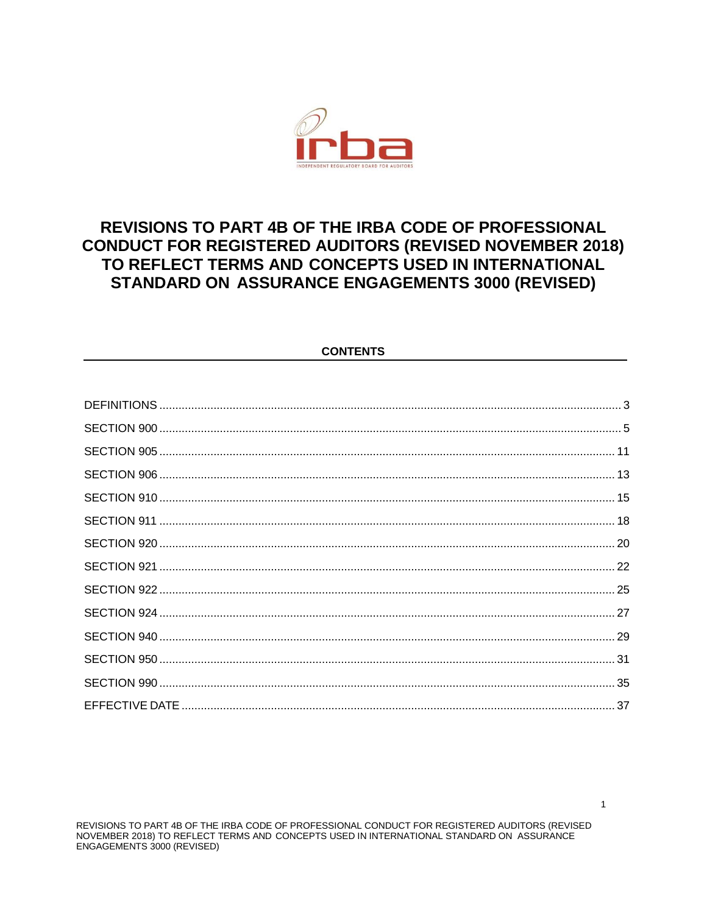

# **REVISIONS TO PART 4B OF THE IRBA CODE OF PROFESSIONAL CONDUCT FOR REGISTERED AUDITORS (REVISED NOVEMBER 2018)** TO REFLECT TERMS AND CONCEPTS USED IN INTERNATIONAL STANDARD ON ASSURANCE ENGAGEMENTS 3000 (REVISED)

## **CONTENTS**

REVISIONS TO PART 4B OF THE IRBA CODE OF PROFESSIONAL CONDUCT FOR REGISTERED AUDITORS (REVISED NOVEMBER 2018) TO REFLECT TERMS AND CONCEPTS USED IN INTERNATIONAL STANDARD ON ASSURANCE ENGAGEMENTS 3000 (REVISED)

 $\mathbf{1}$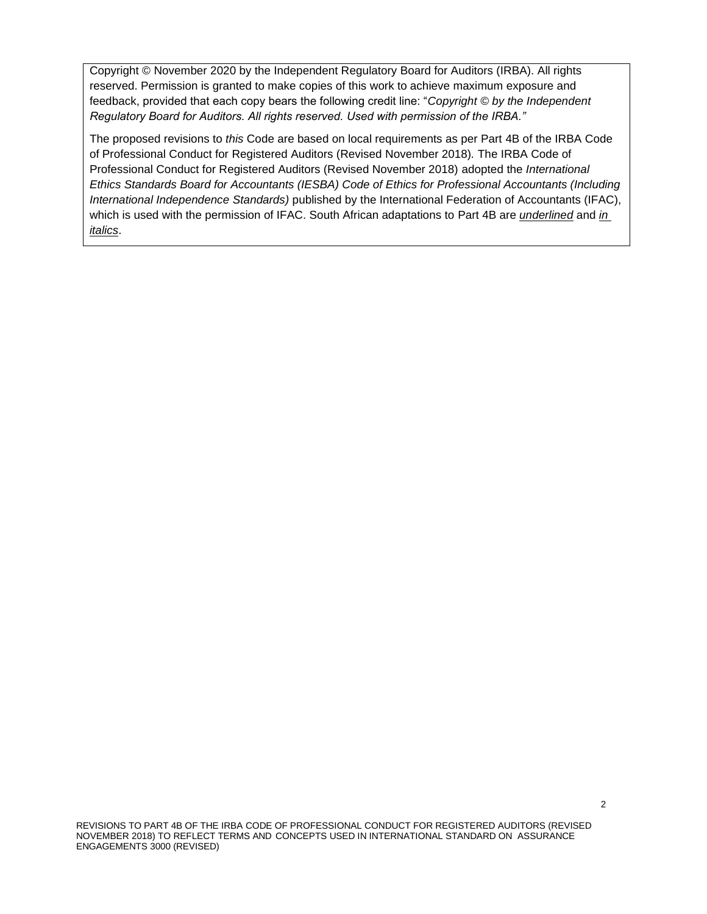Copyright © November 2020 by the Independent Regulatory Board for Auditors (IRBA). All rights reserved. Permission is granted to make copies of this work to achieve maximum exposure and feedback, provided that each copy bears the following credit line: "*Copyright © by the Independent Regulatory Board for Auditors. All rights reserved. Used with permission of the IRBA."* 

The proposed revisions to *this* Code are based on local requirements as per Part 4B of the IRBA Code of Professional Conduct for Registered Auditors (Revised November 2018)*.* The IRBA Code of Professional Conduct for Registered Auditors (Revised November 2018) adopted the *International Ethics Standards Board for Accountants (IESBA) Code of Ethics for Professional Accountants (Including International Independence Standards)* published by the International Federation of Accountants (IFAC), which is used with the permission of IFAC. South African adaptations to Part 4B are *underlined* and *in italics*.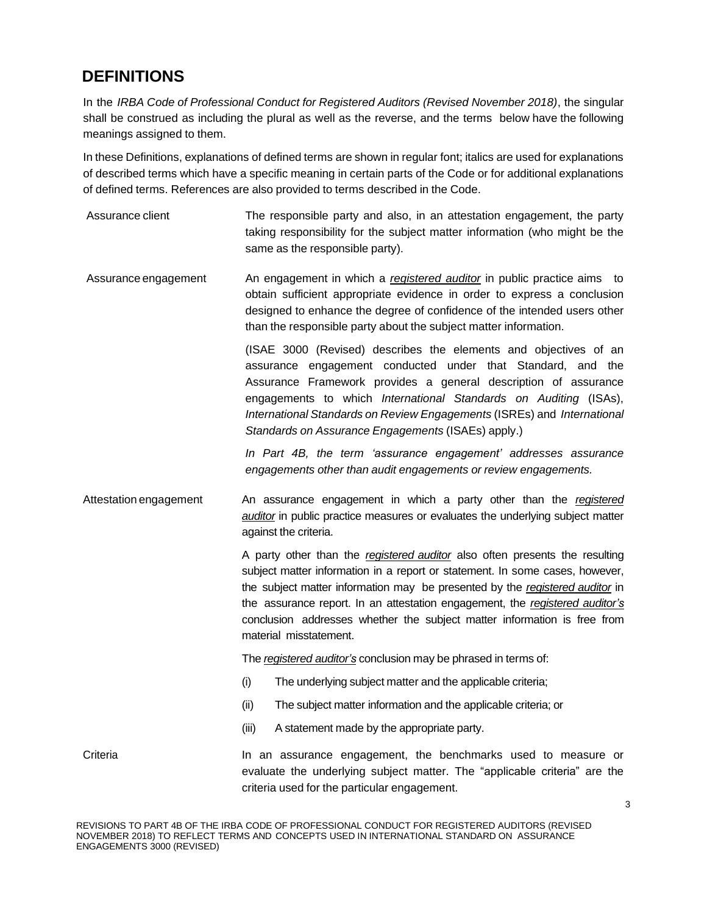# **DEFINITIONS**

In the *IRBA Code of Professional Conduct for Registered Auditors (Revised November 2018)*, the singular shall be construed as including the plural as well as the reverse, and the terms below have the following meanings assigned to them.

In these Definitions, explanations of defined terms are shown in regular font; italics are used for explanations of described terms which have a specific meaning in certain parts of the Code or for additional explanations of defined terms. References are also provided to terms described in the Code.

- Assurance client The responsible party and also, in an attestation engagement, the party taking responsibility for the subject matter information (who might be the same as the responsible party).
- Assurance engagement An engagement in which a *registered auditor* in public practice aims to obtain sufficient appropriate evidence in order to express a conclusion designed to enhance the degree of confidence of the intended users other than the responsible party about the subject matter information.

(ISAE 3000 (Revised) describes the elements and objectives of an assurance engagement conducted under that Standard, and the Assurance Framework provides a general description of assurance engagements to which *International Standards on Auditing* (ISAs), *International Standards on Review Engagements* (ISREs) and *International Standards on Assurance Engagements* (ISAEs) apply.)

*In Part 4B, the term 'assurance engagement' addresses assurance engagements other than audit engagements or review engagements.*

Attestation engagement An assurance engagement in which a party other than the *registered auditor* in public practice measures or evaluates the underlying subject matter against the criteria.

> A party other than the *registered auditor* also often presents the resulting subject matter information in a report or statement. In some cases, however, the subject matter information may be presented by the *registered auditor* in the assurance report. In an attestation engagement, the *registered auditor's* conclusion addresses whether the subject matter information is free from material misstatement.

The *registered auditor's* conclusion may be phrased in terms of:

- (i) The underlying subject matter and the applicable criteria;
- (ii) The subject matter information and the applicable criteria; or
- (iii) A statement made by the appropriate party.

Criteria **In an assurance engagement**, the benchmarks used to measure or evaluate the underlying subject matter. The "applicable criteria" are the criteria used for the particular engagement.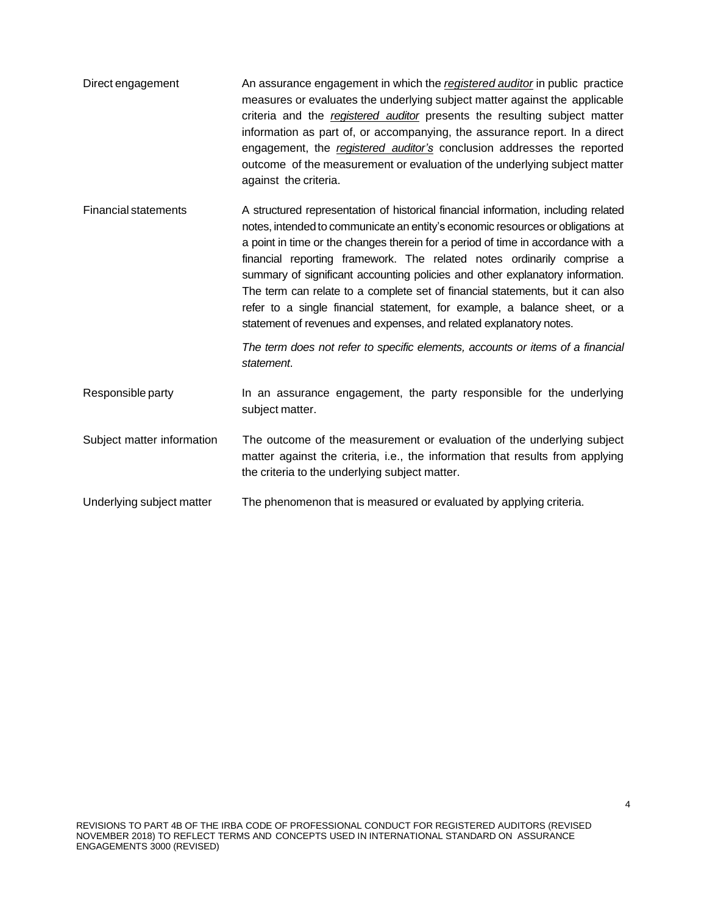- Direct engagement An assurance engagement in which the *registered auditor* in public practice measures or evaluates the underlying subject matter against the applicable criteria and the *registered auditor* presents the resulting subject matter information as part of, or accompanying, the assurance report. In a direct engagement, the *registered auditor's* conclusion addresses the reported outcome of the measurement or evaluation of the underlying subject matter against the criteria.
- Financial statements A structured representation of historical financial information, including related notes, intended to communicate an entity's economic resources or obligations at a point in time or the changes therein for a period of time in accordance with a financial reporting framework. The related notes ordinarily comprise a summary of significant accounting policies and other explanatory information. The term can relate to a complete set of financial statements, but it can also refer to a single financial statement, for example, a balance sheet, or a statement of revenues and expenses, and related explanatory notes.

*The term does not refer to specific elements, accounts or items of a financial statement*.

- Responsible party **In an assurance engagement**, the party responsible for the underlying subject matter.
- Subject matter information The outcome of the measurement or evaluation of the underlying subject matter against the criteria, i.e., the information that results from applying the criteria to the underlying subject matter.
- Underlying subject matter The phenomenon that is measured or evaluated by applying criteria.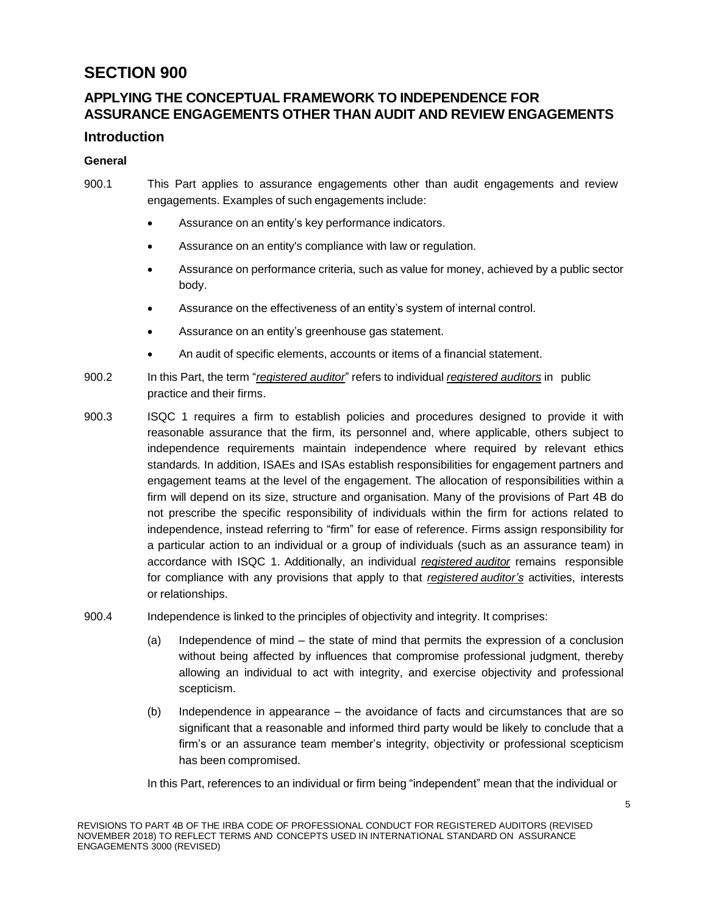# **APPLYING THE CONCEPTUAL FRAMEWORK TO INDEPENDENCE FOR ASSURANCE ENGAGEMENTS OTHER THAN AUDIT AND REVIEW ENGAGEMENTS**

# **Introduction**

## **General**

- 900.1 This Part applies to assurance engagements other than audit engagements and review engagements. Examples of such engagements include:
	- Assurance on an entity's key performance indicators.
	- Assurance on an entity's compliance with law or regulation.
	- Assurance on performance criteria, such as value for money, achieved by a public sector body.
	- Assurance on the effectiveness of an entity's system of internal control.
	- Assurance on an entity's greenhouse gas statement.
	- An audit of specific elements, accounts or items of a financial statement.
- 900.2 In this Part, the term "*registered auditor*" refers to individual *registered auditors* in public practice and their firms.
- 900.3 ISQC 1 requires a firm to establish policies and procedures designed to provide it with reasonable assurance that the firm, its personnel and, where applicable, others subject to independence requirements maintain independence where required by relevant ethics standards*.* In addition, ISAEs and ISAs establish responsibilities for engagement partners and engagement teams at the level of the engagement. The allocation of responsibilities within a firm will depend on its size, structure and organisation. Many of the provisions of Part 4B do not prescribe the specific responsibility of individuals within the firm for actions related to independence, instead referring to "firm" for ease of reference. Firms assign responsibility for a particular action to an individual or a group of individuals (such as an assurance team) in accordance with ISQC 1. Additionally, an individual *registered auditor* remains responsible for compliance with any provisions that apply to that *registered auditor's* activities, interests or relationships.
- 900.4 Independence is linked to the principles of objectivity and integrity. It comprises:
	- (a) Independence of mind the state of mind that permits the expression of a conclusion without being affected by influences that compromise professional judgment, thereby allowing an individual to act with integrity, and exercise objectivity and professional scepticism.
	- (b) Independence in appearance the avoidance of facts and circumstances that are so significant that a reasonable and informed third party would be likely to conclude that a firm's or an assurance team member's integrity, objectivity or professional scepticism has been compromised.

In this Part, references to an individual or firm being "independent" mean that the individual or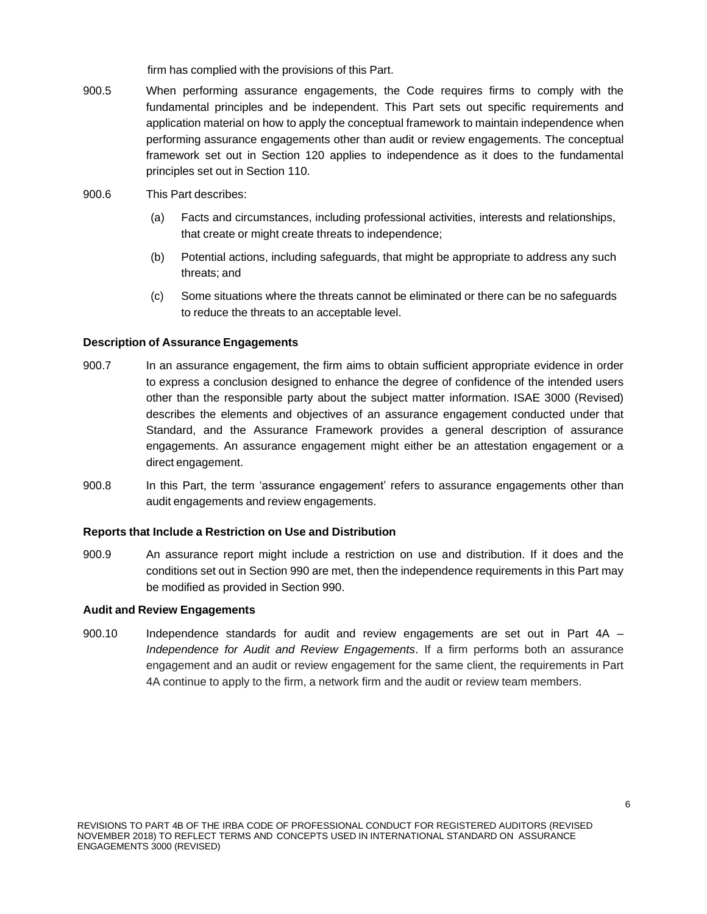firm has complied with the provisions of this Part.

- 900.5 When performing assurance engagements, the Code requires firms to comply with the fundamental principles and be independent. This Part sets out specific requirements and application material on how to apply the conceptual framework to maintain independence when performing assurance engagements other than audit or review engagements. The conceptual framework set out in Section 120 applies to independence as it does to the fundamental principles set out in Section 110.
- 900.6 This Part describes:
	- (a) Facts and circumstances, including professional activities, interests and relationships, that create or might create threats to independence;
	- (b) Potential actions, including safeguards, that might be appropriate to address any such threats; and
	- (c) Some situations where the threats cannot be eliminated or there can be no safeguards to reduce the threats to an acceptable level.

#### **Description of Assurance Engagements**

- 900.7 In an assurance engagement, the firm aims to obtain sufficient appropriate evidence in order to express a conclusion designed to enhance the degree of confidence of the intended users other than the responsible party about the subject matter information. ISAE 3000 (Revised) describes the elements and objectives of an assurance engagement conducted under that Standard, and the Assurance Framework provides a general description of assurance engagements. An assurance engagement might either be an attestation engagement or a direct engagement.
- 900.8 In this Part, the term 'assurance engagement' refers to assurance engagements other than audit engagements and review engagements.

#### **Reports that Include a Restriction on Use and Distribution**

900.9 An assurance report might include a restriction on use and distribution. If it does and the conditions set out in Section 990 are met, then the independence requirements in this Part may be modified as provided in Section 990.

#### **Audit and Review Engagements**

900.10 Independence standards for audit and review engagements are set out in Part 4A – *Independence for Audit and Review Engagements*. If a firm performs both an assurance engagement and an audit or review engagement for the same client, the requirements in Part 4A continue to apply to the firm, a network firm and the audit or review team members.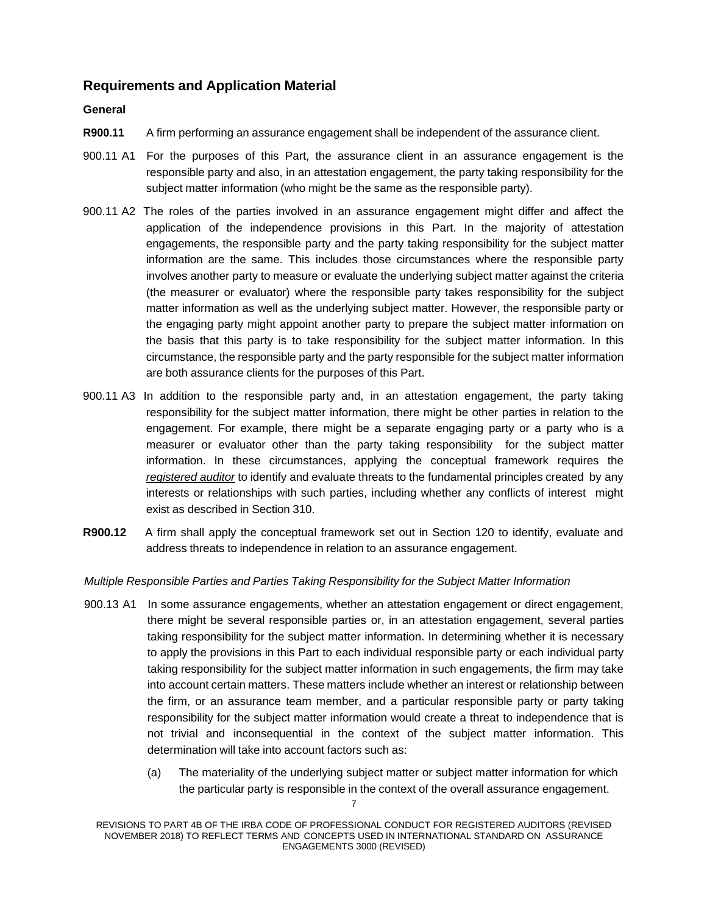## **Requirements and Application Material**

### **General**

- **R900.11** A firm performing an assurance engagement shall be independent of the assurance client.
- 900.11 A1 For the purposes of this Part, the assurance client in an assurance engagement is the responsible party and also, in an attestation engagement, the party taking responsibility for the subject matter information (who might be the same as the responsible party).
- 900.11 A2 The roles of the parties involved in an assurance engagement might differ and affect the application of the independence provisions in this Part. In the majority of attestation engagements, the responsible party and the party taking responsibility for the subject matter information are the same. This includes those circumstances where the responsible party involves another party to measure or evaluate the underlying subject matter against the criteria (the measurer or evaluator) where the responsible party takes responsibility for the subject matter information as well as the underlying subject matter. However, the responsible party or the engaging party might appoint another party to prepare the subject matter information on the basis that this party is to take responsibility for the subject matter information. In this circumstance, the responsible party and the party responsible for the subject matter information are both assurance clients for the purposes of this Part.
- 900.11 A3 In addition to the responsible party and, in an attestation engagement, the party taking responsibility for the subject matter information, there might be other parties in relation to the engagement. For example, there might be a separate engaging party or a party who is a measurer or evaluator other than the party taking responsibility for the subject matter information. In these circumstances, applying the conceptual framework requires the *registered auditor* to identify and evaluate threats to the fundamental principles created by any interests or relationships with such parties, including whether any conflicts of interest might exist as described in Section 310.
- **R900.12** A firm shall apply the conceptual framework set out in Section 120 to identify, evaluate and address threats to independence in relation to an assurance engagement.

#### *Multiple Responsible Parties and Parties Taking Responsibility for the Subject Matter Information*

- 900.13 A1 In some assurance engagements, whether an attestation engagement or direct engagement, there might be several responsible parties or, in an attestation engagement, several parties taking responsibility for the subject matter information. In determining whether it is necessary to apply the provisions in this Part to each individual responsible party or each individual party taking responsibility for the subject matter information in such engagements, the firm may take into account certain matters. These matters include whether an interest or relationship between the firm, or an assurance team member, and a particular responsible party or party taking responsibility for the subject matter information would create a threat to independence that is not trivial and inconsequential in the context of the subject matter information. This determination will take into account factors such as:
	- (a) The materiality of the underlying subject matter or subject matter information for which the particular party is responsible in the context of the overall assurance engagement.

REVISIONS TO PART 4B OF THE IRBA CODE OF PROFESSIONAL CONDUCT FOR REGISTERED AUDITORS (REVISED NOVEMBER 2018) TO REFLECT TERMS AND CONCEPTS USED IN INTERNATIONAL STANDARD ON ASSURANCE ENGAGEMENTS 3000 (REVISED)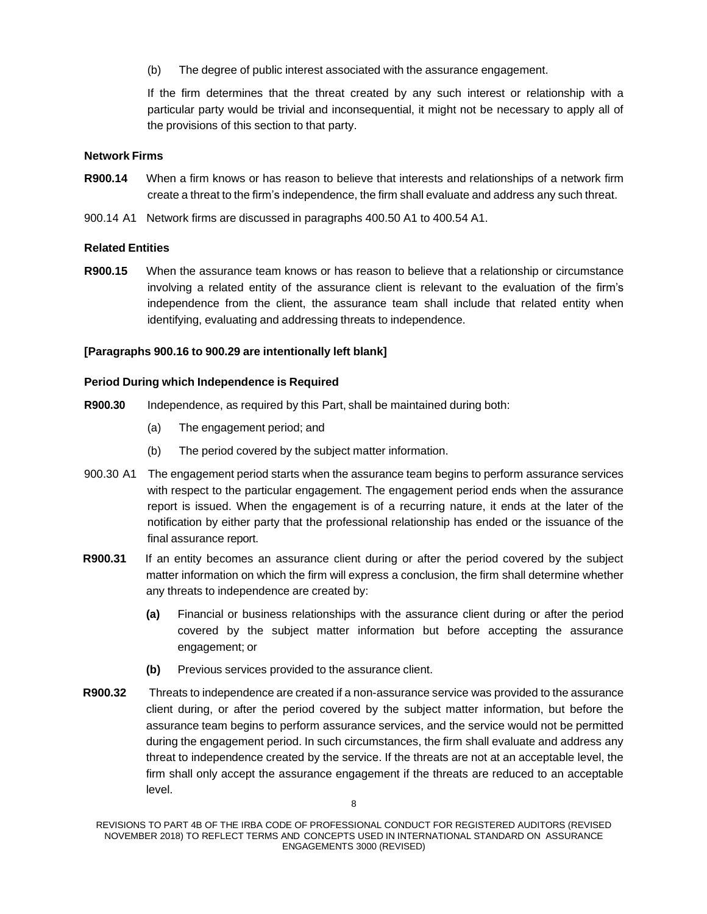(b) The degree of public interest associated with the assurance engagement.

If the firm determines that the threat created by any such interest or relationship with a particular party would be trivial and inconsequential, it might not be necessary to apply all of the provisions of this section to that party.

### **Network Firms**

- **R900.14** When a firm knows or has reason to believe that interests and relationships of a network firm create a threat to the firm's independence, the firm shall evaluate and address any such threat.
- 900.14 A1 Network firms are discussed in paragraphs 400.50 A1 to 400.54 A1.

### **Related Entities**

**R900.15** When the assurance team knows or has reason to believe that a relationship or circumstance involving a related entity of the assurance client is relevant to the evaluation of the firm's independence from the client, the assurance team shall include that related entity when identifying, evaluating and addressing threats to independence.

### **[Paragraphs 900.16 to 900.29 are intentionally left blank]**

#### **Period During which Independence is Required**

- **R900.30** Independence, as required by this Part, shall be maintained during both:
	- (a) The engagement period; and
	- (b) The period covered by the subject matter information.
- 900.30 A1 The engagement period starts when the assurance team begins to perform assurance services with respect to the particular engagement. The engagement period ends when the assurance report is issued. When the engagement is of a recurring nature, it ends at the later of the notification by either party that the professional relationship has ended or the issuance of the final assurance report.
- **R900.31** If an entity becomes an assurance client during or after the period covered by the subject matter information on which the firm will express a conclusion, the firm shall determine whether any threats to independence are created by:
	- **(a)** Financial or business relationships with the assurance client during or after the period covered by the subject matter information but before accepting the assurance engagement; or
	- **(b)** Previous services provided to the assurance client.
- **R900.32** Threats to independence are created if a non-assurance service was provided to the assurance client during, or after the period covered by the subject matter information, but before the assurance team begins to perform assurance services, and the service would not be permitted during the engagement period. In such circumstances, the firm shall evaluate and address any threat to independence created by the service. If the threats are not at an acceptable level, the firm shall only accept the assurance engagement if the threats are reduced to an acceptable level.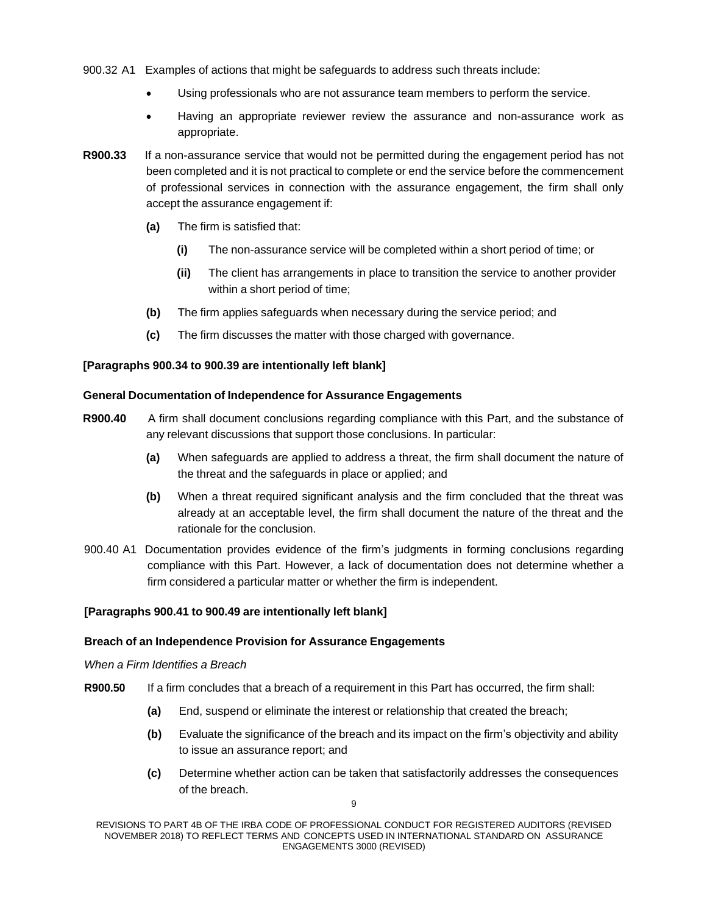- 900.32 A1 Examples of actions that might be safeguards to address such threats include:
	- Using professionals who are not assurance team members to perform the service.
	- Having an appropriate reviewer review the assurance and non-assurance work as appropriate.
- **R900.33** If a non-assurance service that would not be permitted during the engagement period has not been completed and it is not practical to complete or end the service before the commencement of professional services in connection with the assurance engagement, the firm shall only accept the assurance engagement if:
	- **(a)** The firm is satisfied that:
		- **(i)** The non-assurance service will be completed within a short period of time; or
		- **(ii)** The client has arrangements in place to transition the service to another provider within a short period of time;
	- **(b)** The firm applies safeguards when necessary during the service period; and
	- **(c)** The firm discusses the matter with those charged with governance.

### **[Paragraphs 900.34 to 900.39 are intentionally left blank]**

#### **General Documentation of Independence for Assurance Engagements**

- **R900.40** A firm shall document conclusions regarding compliance with this Part, and the substance of any relevant discussions that support those conclusions. In particular:
	- **(a)** When safeguards are applied to address a threat, the firm shall document the nature of the threat and the safeguards in place or applied; and
	- **(b)** When a threat required significant analysis and the firm concluded that the threat was already at an acceptable level, the firm shall document the nature of the threat and the rationale for the conclusion.
- 900.40 A1 Documentation provides evidence of the firm's judgments in forming conclusions regarding compliance with this Part. However, a lack of documentation does not determine whether a firm considered a particular matter or whether the firm is independent.

#### **[Paragraphs 900.41 to 900.49 are intentionally left blank]**

#### **Breach of an Independence Provision for Assurance Engagements**

#### *When a Firm Identifies a Breach*

- **R900.50** If a firm concludes that a breach of a requirement in this Part has occurred, the firm shall:
	- **(a)** End, suspend or eliminate the interest or relationship that created the breach;
	- **(b)** Evaluate the significance of the breach and its impact on the firm's objectivity and ability to issue an assurance report; and
	- **(c)** Determine whether action can be taken that satisfactorily addresses the consequences of the breach.

REVISIONS TO PART 4B OF THE IRBA CODE OF PROFESSIONAL CONDUCT FOR REGISTERED AUDITORS (REVISED NOVEMBER 2018) TO REFLECT TERMS AND CONCEPTS USED IN INTERNATIONAL STANDARD ON ASSURANCE ENGAGEMENTS 3000 (REVISED)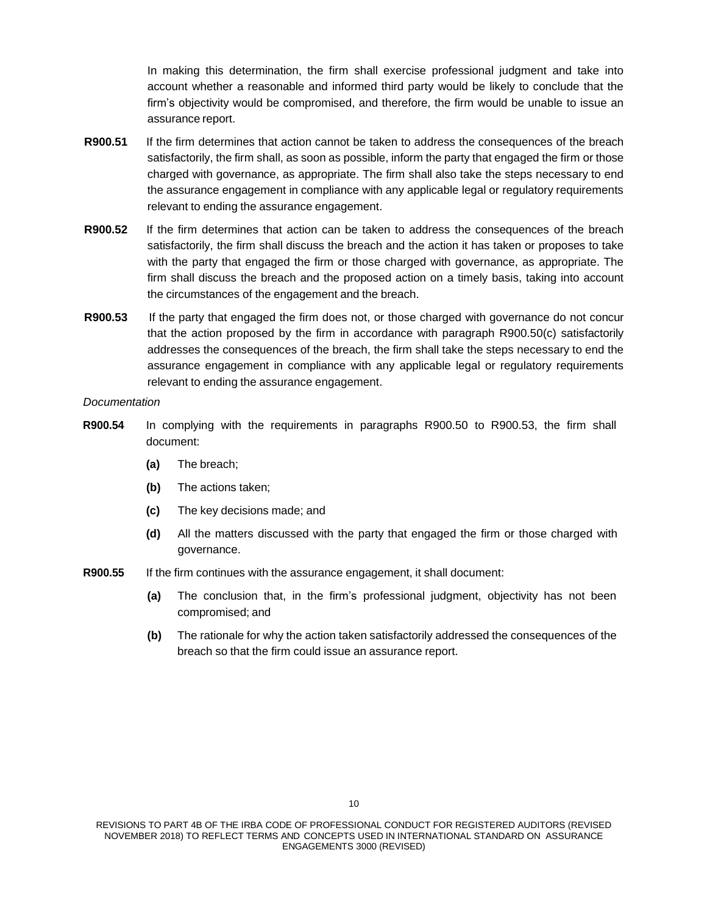In making this determination, the firm shall exercise professional judgment and take into account whether a reasonable and informed third party would be likely to conclude that the firm's objectivity would be compromised, and therefore, the firm would be unable to issue an assurance report.

- **R900.51** If the firm determines that action cannot be taken to address the consequences of the breach satisfactorily, the firm shall, as soon as possible, inform the party that engaged the firm or those charged with governance, as appropriate. The firm shall also take the steps necessary to end the assurance engagement in compliance with any applicable legal or regulatory requirements relevant to ending the assurance engagement.
- **R900.52** If the firm determines that action can be taken to address the consequences of the breach satisfactorily, the firm shall discuss the breach and the action it has taken or proposes to take with the party that engaged the firm or those charged with governance, as appropriate. The firm shall discuss the breach and the proposed action on a timely basis, taking into account the circumstances of the engagement and the breach.
- **R900.53** If the party that engaged the firm does not, or those charged with governance do not concur that the action proposed by the firm in accordance with paragraph R900.50(c) satisfactorily addresses the consequences of the breach, the firm shall take the steps necessary to end the assurance engagement in compliance with any applicable legal or regulatory requirements relevant to ending the assurance engagement.

#### *Documentation*

- **R900.54** In complying with the requirements in paragraphs R900.50 to R900.53, the firm shall document:
	- **(a)** The breach;
	- **(b)** The actions taken;
	- **(c)** The key decisions made; and
	- **(d)** All the matters discussed with the party that engaged the firm or those charged with governance.
- **R900.55** If the firm continues with the assurance engagement, it shall document:
	- **(a)** The conclusion that, in the firm's professional judgment, objectivity has not been compromised; and
	- **(b)** The rationale for why the action taken satisfactorily addressed the consequences of the breach so that the firm could issue an assurance report.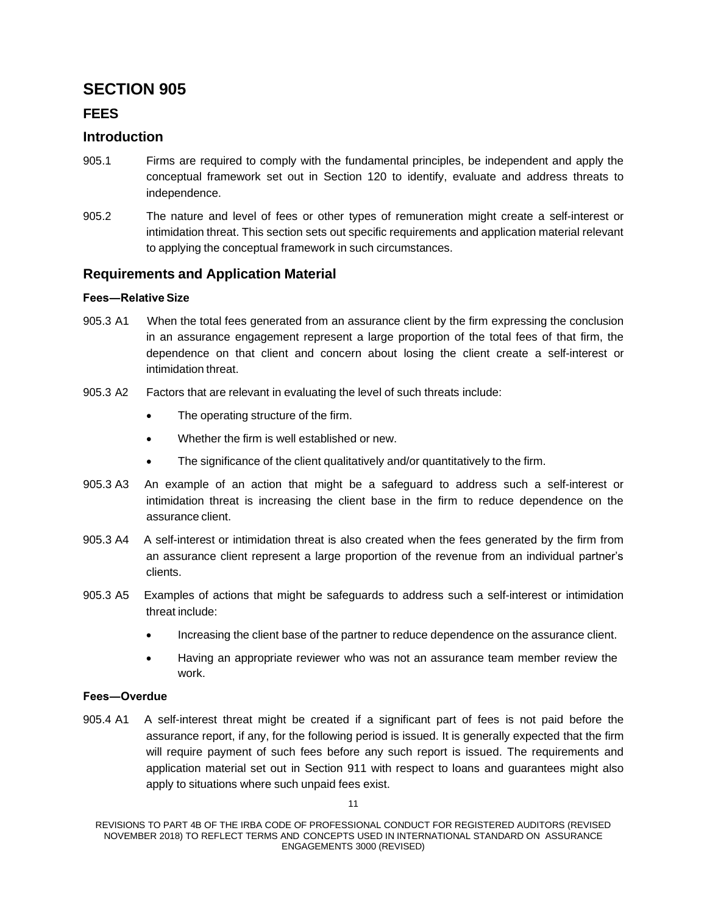# **FEES**

## **Introduction**

- 905.1 Firms are required to comply with the fundamental principles, be independent and apply the conceptual framework set out in Section 120 to identify, evaluate and address threats to independence.
- 905.2 The nature and level of fees or other types of remuneration might create a self-interest or intimidation threat. This section sets out specific requirements and application material relevant to applying the conceptual framework in such circumstances.

## **Requirements and Application Material**

### **Fees―Relative Size**

- 905.3 A1 When the total fees generated from an assurance client by the firm expressing the conclusion in an assurance engagement represent a large proportion of the total fees of that firm, the dependence on that client and concern about losing the client create a self-interest or intimidation threat.
- 905.3 A2 Factors that are relevant in evaluating the level of such threats include:
	- The operating structure of the firm.
	- Whether the firm is well established or new.
	- The significance of the client qualitatively and/or quantitatively to the firm.
- 905.3 A3 An example of an action that might be a safeguard to address such a self-interest or intimidation threat is increasing the client base in the firm to reduce dependence on the assurance client.
- 905.3 A4 A self-interest or intimidation threat is also created when the fees generated by the firm from an assurance client represent a large proportion of the revenue from an individual partner's clients.
- 905.3 A5 Examples of actions that might be safeguards to address such a self-interest or intimidation threat include:
	- Increasing the client base of the partner to reduce dependence on the assurance client.
	- Having an appropriate reviewer who was not an assurance team member review the work.

#### **Fees―Overdue**

905.4 A1 A self-interest threat might be created if a significant part of fees is not paid before the assurance report, if any, for the following period is issued. It is generally expected that the firm will require payment of such fees before any such report is issued. The requirements and application material set out in Section 911 with respect to loans and guarantees might also apply to situations where such unpaid fees exist.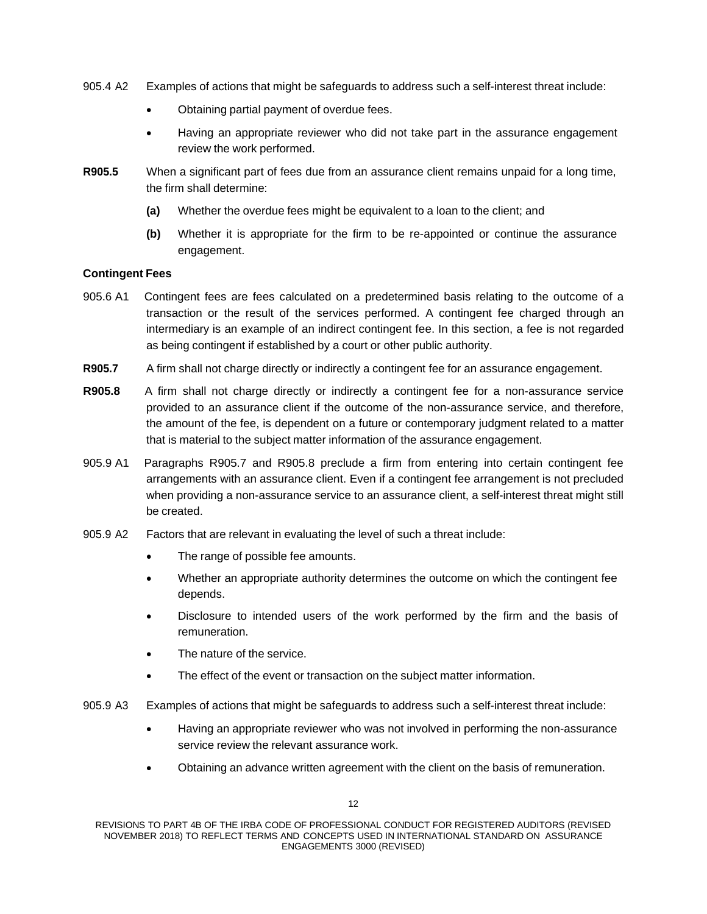- 905.4 A2 Examples of actions that might be safeguards to address such a self-interest threat include:
	- Obtaining partial payment of overdue fees.
	- Having an appropriate reviewer who did not take part in the assurance engagement review the work performed.
- **R905.5** When a significant part of fees due from an assurance client remains unpaid for a long time, the firm shall determine:
	- **(a)** Whether the overdue fees might be equivalent to a loan to the client; and
	- **(b)** Whether it is appropriate for the firm to be re-appointed or continue the assurance engagement.

### **Contingent Fees**

- 905.6 A1 Contingent fees are fees calculated on a predetermined basis relating to the outcome of a transaction or the result of the services performed. A contingent fee charged through an intermediary is an example of an indirect contingent fee. In this section, a fee is not regarded as being contingent if established by a court or other public authority.
- **R905.7** A firm shall not charge directly or indirectly a contingent fee for an assurance engagement.
- **R905.8** A firm shall not charge directly or indirectly a contingent fee for a non-assurance service provided to an assurance client if the outcome of the non-assurance service, and therefore, the amount of the fee, is dependent on a future or contemporary judgment related to a matter that is material to the subject matter information of the assurance engagement.
- 905.9 A1 Paragraphs R905.7 and R905.8 preclude a firm from entering into certain contingent fee arrangements with an assurance client. Even if a contingent fee arrangement is not precluded when providing a non-assurance service to an assurance client, a self-interest threat might still be created.
- 905.9 A2 Factors that are relevant in evaluating the level of such a threat include:
	- The range of possible fee amounts.
	- Whether an appropriate authority determines the outcome on which the contingent fee depends.
	- Disclosure to intended users of the work performed by the firm and the basis of remuneration.
	- The nature of the service.
	- The effect of the event or transaction on the subject matter information.
- 905.9 A3 Examples of actions that might be safeguards to address such a self-interest threat include:
	- Having an appropriate reviewer who was not involved in performing the non-assurance service review the relevant assurance work.
	- Obtaining an advance written agreement with the client on the basis of remuneration.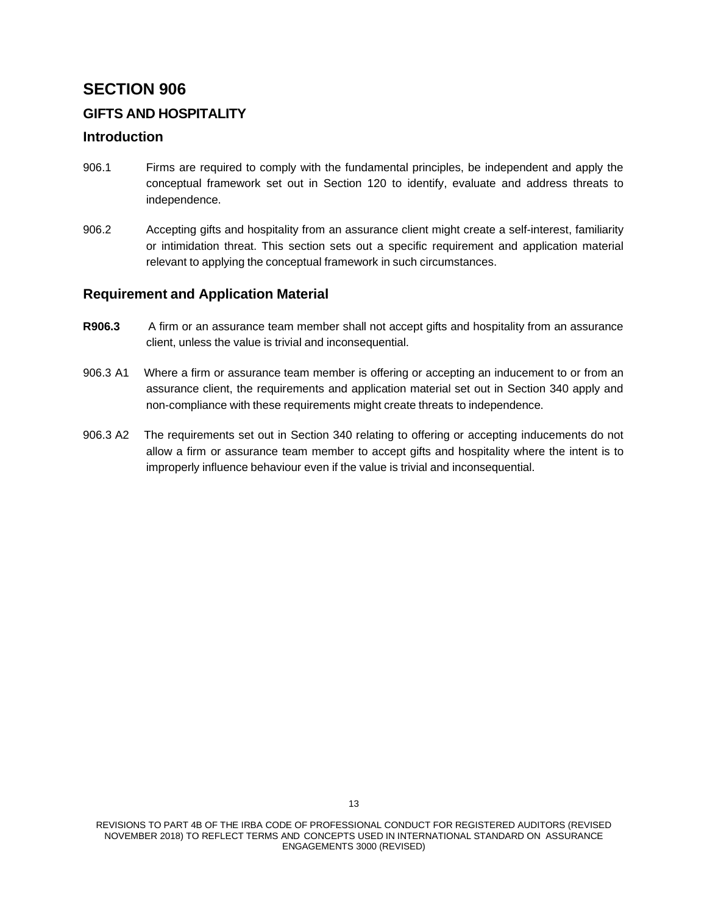# **GIFTS AND HOSPITALITY**

## **Introduction**

- 906.1 Firms are required to comply with the fundamental principles, be independent and apply the conceptual framework set out in Section 120 to identify, evaluate and address threats to independence.
- 906.2 Accepting gifts and hospitality from an assurance client might create a self-interest, familiarity or intimidation threat. This section sets out a specific requirement and application material relevant to applying the conceptual framework in such circumstances.

## **Requirement and Application Material**

- **R906.3** A firm or an assurance team member shall not accept gifts and hospitality from an assurance client, unless the value is trivial and inconsequential.
- 906.3 A1 Where a firm or assurance team member is offering or accepting an inducement to or from an assurance client, the requirements and application material set out in Section 340 apply and non-compliance with these requirements might create threats to independence.
- 906.3 A2 The requirements set out in Section 340 relating to offering or accepting inducements do not allow a firm or assurance team member to accept gifts and hospitality where the intent is to improperly influence behaviour even if the value is trivial and inconsequential.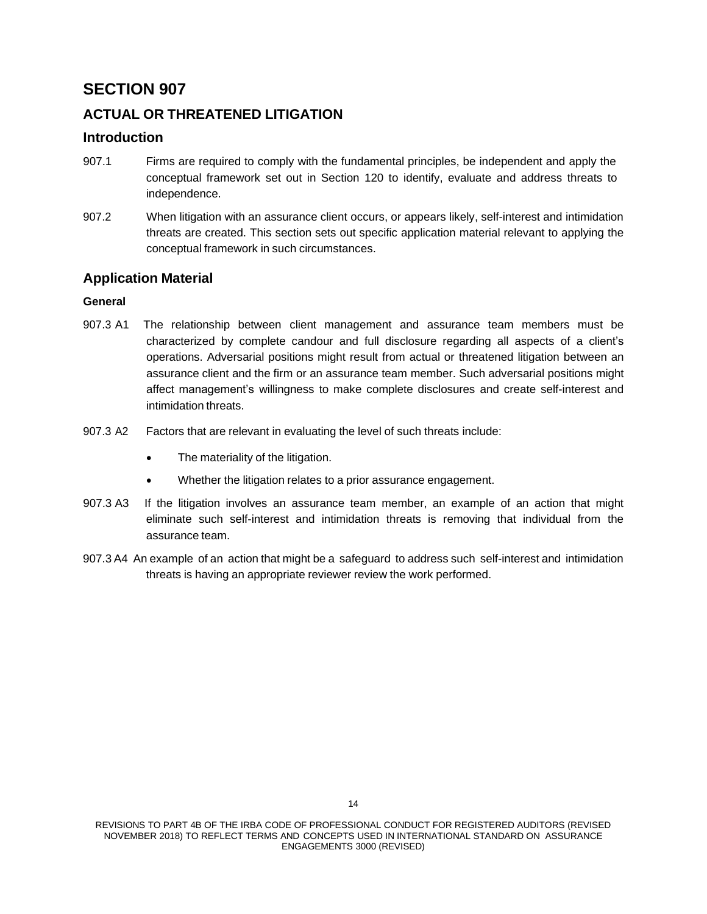# **ACTUAL OR THREATENED LITIGATION**

## **Introduction**

- 907.1 Firms are required to comply with the fundamental principles, be independent and apply the conceptual framework set out in Section 120 to identify, evaluate and address threats to independence.
- 907.2 When litigation with an assurance client occurs, or appears likely, self-interest and intimidation threats are created. This section sets out specific application material relevant to applying the conceptual framework in such circumstances.

# **Application Material**

## **General**

- 907.3 A1 The relationship between client management and assurance team members must be characterized by complete candour and full disclosure regarding all aspects of a client's operations. Adversarial positions might result from actual or threatened litigation between an assurance client and the firm or an assurance team member. Such adversarial positions might affect management's willingness to make complete disclosures and create self-interest and intimidation threats.
- 907.3 A2 Factors that are relevant in evaluating the level of such threats include:
	- The materiality of the litigation.
	- Whether the litigation relates to a prior assurance engagement.
- 907.3 A3 If the litigation involves an assurance team member, an example of an action that might eliminate such self-interest and intimidation threats is removing that individual from the assurance team.
- 907.3 A4 An example of an action that might be a safeguard to address such self-interest and intimidation threats is having an appropriate reviewer review the work performed.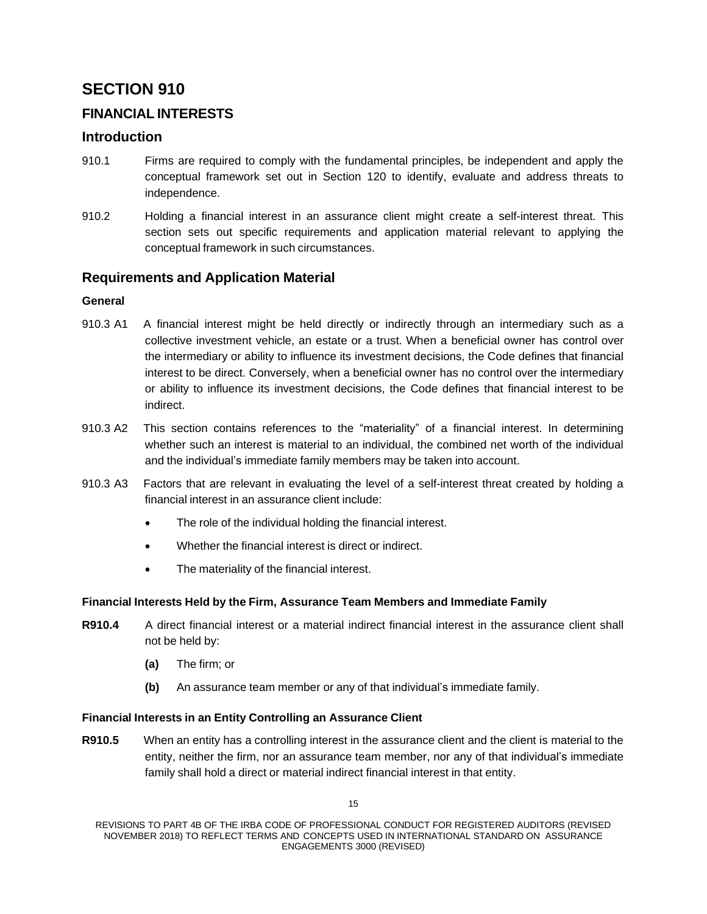# **FINANCIAL INTERESTS**

## **Introduction**

- 910.1 Firms are required to comply with the fundamental principles, be independent and apply the conceptual framework set out in Section 120 to identify, evaluate and address threats to independence.
- 910.2 Holding a financial interest in an assurance client might create a self-interest threat. This section sets out specific requirements and application material relevant to applying the conceptual framework in such circumstances.

## **Requirements and Application Material**

### **General**

- 910.3 A1 A financial interest might be held directly or indirectly through an intermediary such as a collective investment vehicle, an estate or a trust. When a beneficial owner has control over the intermediary or ability to influence its investment decisions, the Code defines that financial interest to be direct. Conversely, when a beneficial owner has no control over the intermediary or ability to influence its investment decisions, the Code defines that financial interest to be indirect.
- 910.3 A2 This section contains references to the "materiality" of a financial interest. In determining whether such an interest is material to an individual, the combined net worth of the individual and the individual's immediate family members may be taken into account.
- 910.3 A3 Factors that are relevant in evaluating the level of a self-interest threat created by holding a financial interest in an assurance client include:
	- The role of the individual holding the financial interest.
	- Whether the financial interest is direct or indirect.
	- The materiality of the financial interest.

#### **Financial Interests Held by the Firm, Assurance Team Members and Immediate Family**

- **R910.4** A direct financial interest or a material indirect financial interest in the assurance client shall not be held by:
	- **(a)** The firm; or
	- **(b)** An assurance team member or any of that individual's immediate family.

#### **Financial Interests in an Entity Controlling an Assurance Client**

**R910.5** When an entity has a controlling interest in the assurance client and the client is material to the entity, neither the firm, nor an assurance team member, nor any of that individual's immediate family shall hold a direct or material indirect financial interest in that entity.

15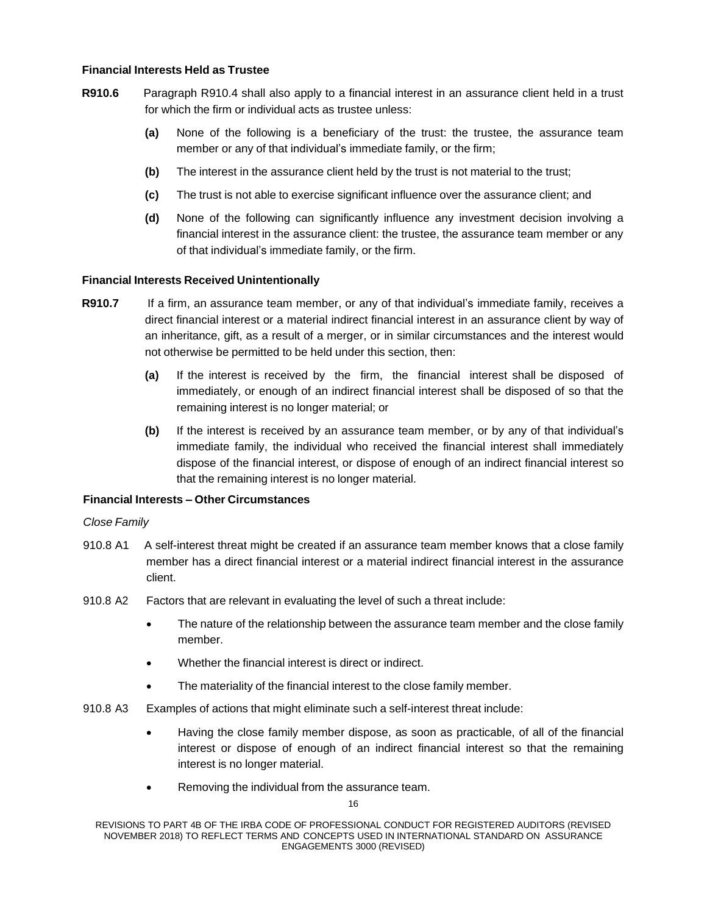### **Financial Interests Held as Trustee**

- **R910.6** Paragraph R910.4 shall also apply to a financial interest in an assurance client held in a trust for which the firm or individual acts as trustee unless:
	- **(a)** None of the following is a beneficiary of the trust: the trustee, the assurance team member or any of that individual's immediate family, or the firm;
	- **(b)** The interest in the assurance client held by the trust is not material to the trust;
	- **(c)** The trust is not able to exercise significant influence over the assurance client; and
	- **(d)** None of the following can significantly influence any investment decision involving a financial interest in the assurance client: the trustee, the assurance team member or any of that individual's immediate family, or the firm.

#### **Financial Interests Received Unintentionally**

- **R910.7** If a firm, an assurance team member, or any of that individual's immediate family, receives a direct financial interest or a material indirect financial interest in an assurance client by way of an inheritance, gift, as a result of a merger, or in similar circumstances and the interest would not otherwise be permitted to be held under this section, then:
	- **(a)** If the interest is received by the firm, the financial interest shall be disposed of immediately, or enough of an indirect financial interest shall be disposed of so that the remaining interest is no longer material; or
	- **(b)** If the interest is received by an assurance team member, or by any of that individual's immediate family, the individual who received the financial interest shall immediately dispose of the financial interest, or dispose of enough of an indirect financial interest so that the remaining interest is no longer material.

#### **Financial Interests – Other Circumstances**

#### *Close Family*

- 910.8 A1 A self-interest threat might be created if an assurance team member knows that a close family member has a direct financial interest or a material indirect financial interest in the assurance client.
- 910.8 A2 Factors that are relevant in evaluating the level of such a threat include:
	- The nature of the relationship between the assurance team member and the close family member.
	- Whether the financial interest is direct or indirect.
	- The materiality of the financial interest to the close family member.
- 910.8 A3 Examples of actions that might eliminate such a self-interest threat include:
	- Having the close family member dispose, as soon as practicable, of all of the financial interest or dispose of enough of an indirect financial interest so that the remaining interest is no longer material.
	- Removing the individual from the assurance team.

REVISIONS TO PART 4B OF THE IRBA CODE OF PROFESSIONAL CONDUCT FOR REGISTERED AUDITORS (REVISED NOVEMBER 2018) TO REFLECT TERMS AND CONCEPTS USED IN INTERNATIONAL STANDARD ON ASSURANCE ENGAGEMENTS 3000 (REVISED)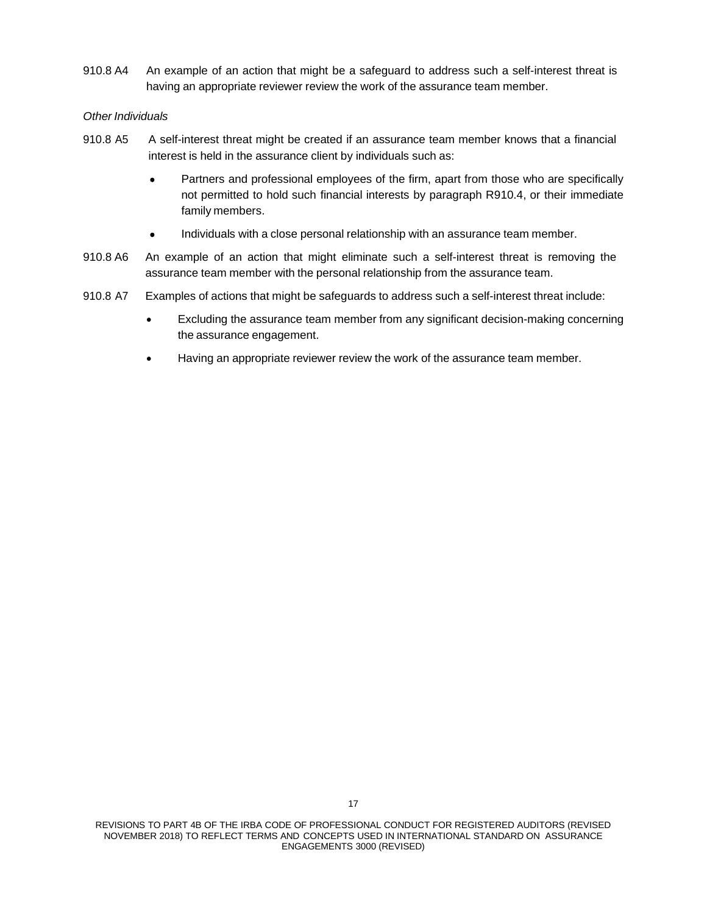910.8 A4 An example of an action that might be a safeguard to address such a self-interest threat is having an appropriate reviewer review the work of the assurance team member.

#### *Other Individuals*

- 910.8 A5 A self-interest threat might be created if an assurance team member knows that a financial interest is held in the assurance client by individuals such as:
	- Partners and professional employees of the firm, apart from those who are specifically not permitted to hold such financial interests by paragraph R910.4, or their immediate family members.
	- Individuals with a close personal relationship with an assurance team member.
- 910.8 A6 An example of an action that might eliminate such a self-interest threat is removing the assurance team member with the personal relationship from the assurance team.
- 910.8 A7 Examples of actions that might be safeguards to address such a self-interest threat include:
	- Excluding the assurance team member from any significant decision-making concerning the assurance engagement.
	- Having an appropriate reviewer review the work of the assurance team member.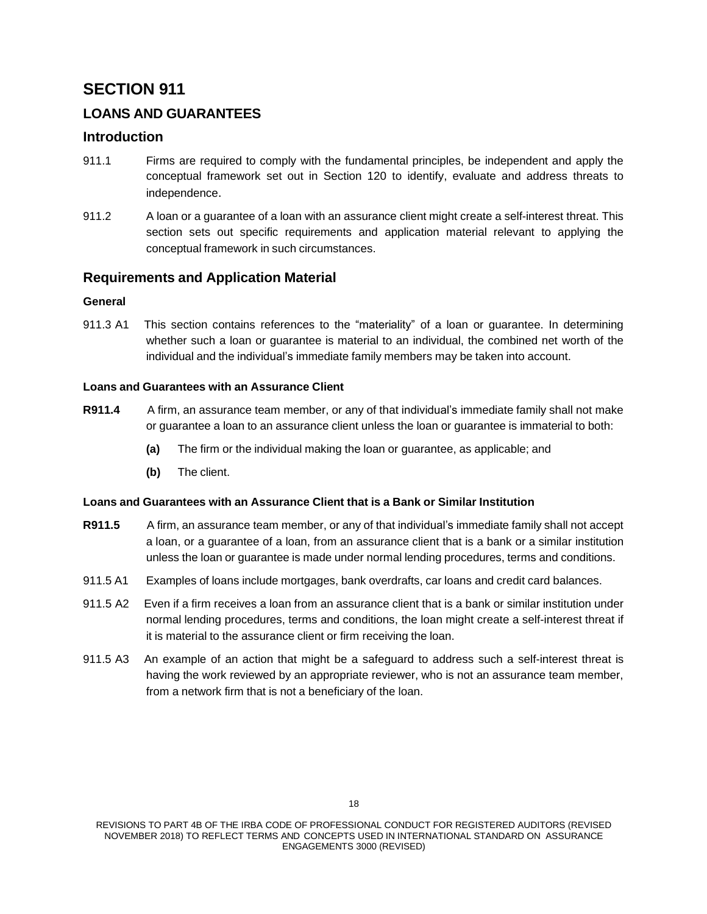# **LOANS AND GUARANTEES**

## **Introduction**

- 911.1 Firms are required to comply with the fundamental principles, be independent and apply the conceptual framework set out in Section 120 to identify, evaluate and address threats to independence.
- 911.2 A loan or a guarantee of a loan with an assurance client might create a self-interest threat. This section sets out specific requirements and application material relevant to applying the conceptual framework in such circumstances.

## **Requirements and Application Material**

### **General**

911.3 A1 This section contains references to the "materiality" of a loan or guarantee. In determining whether such a loan or guarantee is material to an individual, the combined net worth of the individual and the individual's immediate family members may be taken into account.

### **Loans and Guarantees with an Assurance Client**

- **R911.4** A firm, an assurance team member, or any of that individual's immediate family shall not make or guarantee a loan to an assurance client unless the loan or guarantee is immaterial to both:
	- **(a)** The firm or the individual making the loan or guarantee, as applicable; and
	- **(b)** The client.

## **Loans and Guarantees with an Assurance Client that is a Bank or Similar Institution**

- **R911.5** A firm, an assurance team member, or any of that individual's immediate family shall not accept a loan, or a guarantee of a loan, from an assurance client that is a bank or a similar institution unless the loan or guarantee is made under normal lending procedures, terms and conditions.
- 911.5 A1 Examples of loans include mortgages, bank overdrafts, car loans and credit card balances.
- 911.5 A2 Even if a firm receives a loan from an assurance client that is a bank or similar institution under normal lending procedures, terms and conditions, the loan might create a self-interest threat if it is material to the assurance client or firm receiving the loan.
- 911.5 A3 An example of an action that might be a safeguard to address such a self-interest threat is having the work reviewed by an appropriate reviewer, who is not an assurance team member, from a network firm that is not a beneficiary of the loan.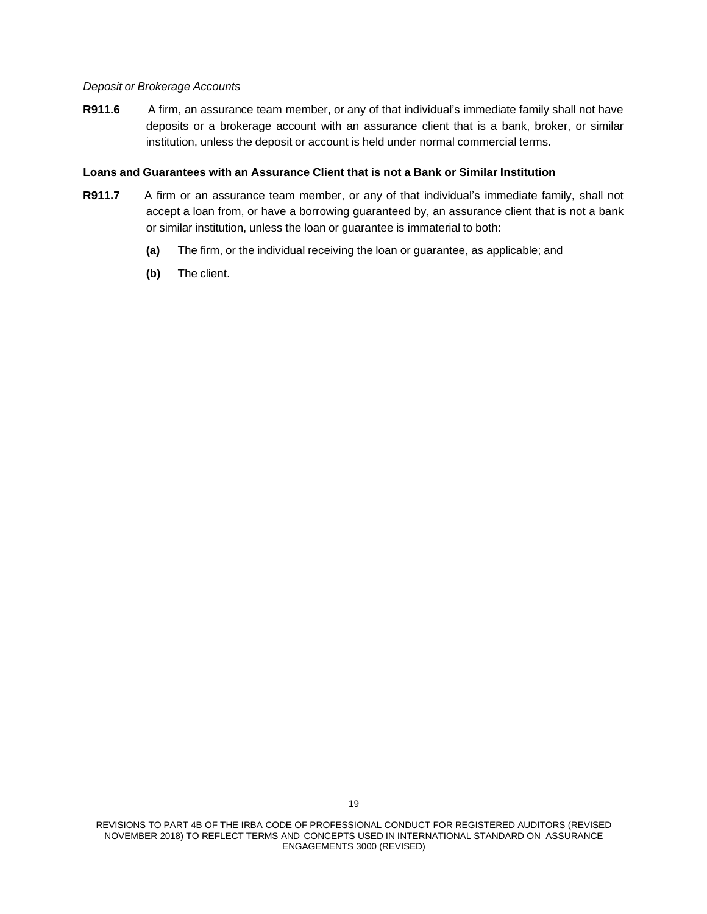#### *Deposit or Brokerage Accounts*

**R911.6** A firm, an assurance team member, or any of that individual's immediate family shall not have deposits or a brokerage account with an assurance client that is a bank, broker, or similar institution, unless the deposit or account is held under normal commercial terms.

#### **Loans and Guarantees with an Assurance Client that is not a Bank or Similar Institution**

- **R911.7** A firm or an assurance team member, or any of that individual's immediate family, shall not accept a loan from, or have a borrowing guaranteed by, an assurance client that is not a bank or similar institution, unless the loan or guarantee is immaterial to both:
	- **(a)** The firm, or the individual receiving the loan or guarantee, as applicable; and
	- **(b)** The client.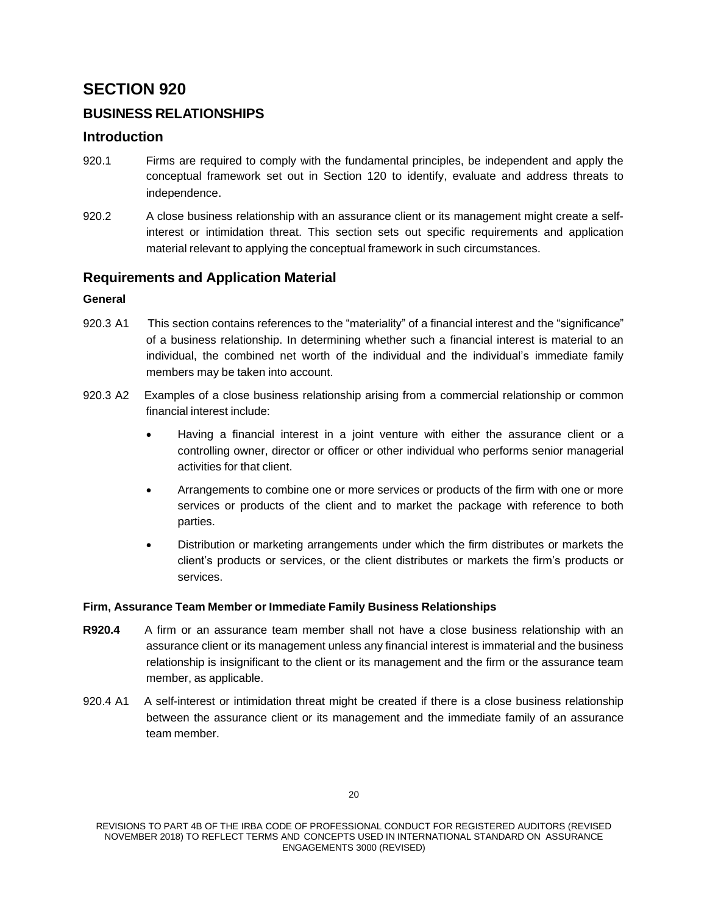# **BUSINESS RELATIONSHIPS**

## **Introduction**

- 920.1 Firms are required to comply with the fundamental principles, be independent and apply the conceptual framework set out in Section 120 to identify, evaluate and address threats to independence.
- 920.2 A close business relationship with an assurance client or its management might create a selfinterest or intimidation threat. This section sets out specific requirements and application material relevant to applying the conceptual framework in such circumstances.

## **Requirements and Application Material**

## **General**

- 920.3 A1 This section contains references to the "materiality" of a financial interest and the "significance" of a business relationship. In determining whether such a financial interest is material to an individual, the combined net worth of the individual and the individual's immediate family members may be taken into account.
- 920.3 A2 Examples of a close business relationship arising from a commercial relationship or common financial interest include:
	- Having a financial interest in a joint venture with either the assurance client or a controlling owner, director or officer or other individual who performs senior managerial activities for that client.
	- Arrangements to combine one or more services or products of the firm with one or more services or products of the client and to market the package with reference to both parties.
	- Distribution or marketing arrangements under which the firm distributes or markets the client's products or services, or the client distributes or markets the firm's products or services.

## **Firm, Assurance Team Member or Immediate Family Business Relationships**

- **R920.4** A firm or an assurance team member shall not have a close business relationship with an assurance client or its management unless any financial interest is immaterial and the business relationship is insignificant to the client or its management and the firm or the assurance team member, as applicable.
- 920.4 A1 A self-interest or intimidation threat might be created if there is a close business relationship between the assurance client or its management and the immediate family of an assurance team member.

REVISIONS TO PART 4B OF THE IRBA CODE OF PROFESSIONAL CONDUCT FOR REGISTERED AUDITORS (REVISED NOVEMBER 2018) TO REFLECT TERMS AND CONCEPTS USED IN INTERNATIONAL STANDARD ON ASSURANCE ENGAGEMENTS 3000 (REVISED)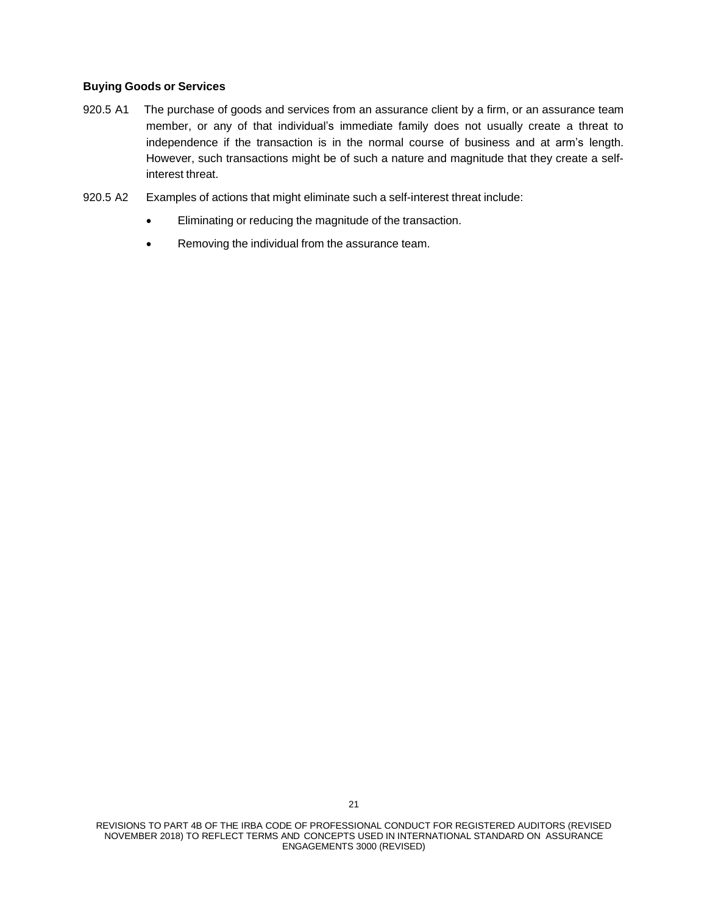#### **Buying Goods or Services**

- 920.5 A1 The purchase of goods and services from an assurance client by a firm, or an assurance team member, or any of that individual's immediate family does not usually create a threat to independence if the transaction is in the normal course of business and at arm's length. However, such transactions might be of such a nature and magnitude that they create a selfinterest threat.
- 920.5 A2 Examples of actions that might eliminate such a self-interest threat include:
	- Eliminating or reducing the magnitude of the transaction.
	- Removing the individual from the assurance team.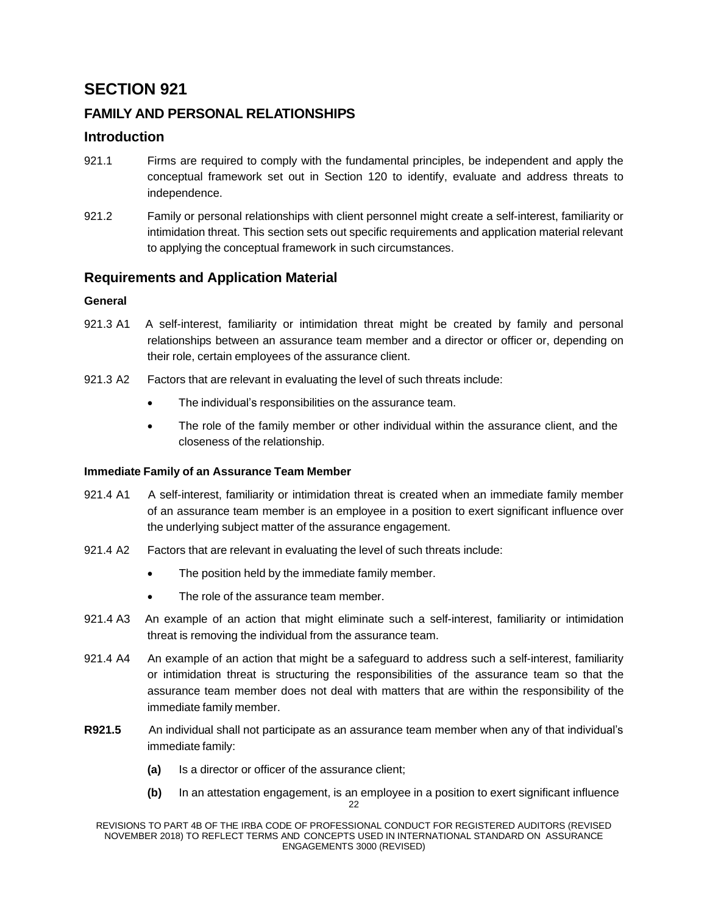# **FAMILY AND PERSONAL RELATIONSHIPS**

## **Introduction**

- 921.1 Firms are required to comply with the fundamental principles, be independent and apply the conceptual framework set out in Section 120 to identify, evaluate and address threats to independence.
- 921.2 Family or personal relationships with client personnel might create a self-interest, familiarity or intimidation threat. This section sets out specific requirements and application material relevant to applying the conceptual framework in such circumstances.

## **Requirements and Application Material**

## **General**

- 921.3 A1 A self-interest, familiarity or intimidation threat might be created by family and personal relationships between an assurance team member and a director or officer or, depending on their role, certain employees of the assurance client.
- 921.3 A2 Factors that are relevant in evaluating the level of such threats include:
	- The individual's responsibilities on the assurance team.
	- The role of the family member or other individual within the assurance client, and the closeness of the relationship.

## **Immediate Family of an Assurance Team Member**

- 921.4 A1 A self-interest, familiarity or intimidation threat is created when an immediate family member of an assurance team member is an employee in a position to exert significant influence over the underlying subject matter of the assurance engagement.
- 921.4 A2 Factors that are relevant in evaluating the level of such threats include:
	- The position held by the immediate family member.
	- The role of the assurance team member.
- 921.4 A3 An example of an action that might eliminate such a self-interest, familiarity or intimidation threat is removing the individual from the assurance team.
- 921.4 A4 An example of an action that might be a safeguard to address such a self-interest, familiarity or intimidation threat is structuring the responsibilities of the assurance team so that the assurance team member does not deal with matters that are within the responsibility of the immediate family member.
- **R921.5** An individual shall not participate as an assurance team member when any of that individual's immediate family:
	- **(a)** Is a director or officer of the assurance client;
	- 22 **(b)** In an attestation engagement, is an employee in a position to exert significant influence

REVISIONS TO PART 4B OF THE IRBA CODE OF PROFESSIONAL CONDUCT FOR REGISTERED AUDITORS (REVISED NOVEMBER 2018) TO REFLECT TERMS AND CONCEPTS USED IN INTERNATIONAL STANDARD ON ASSURANCE ENGAGEMENTS 3000 (REVISED)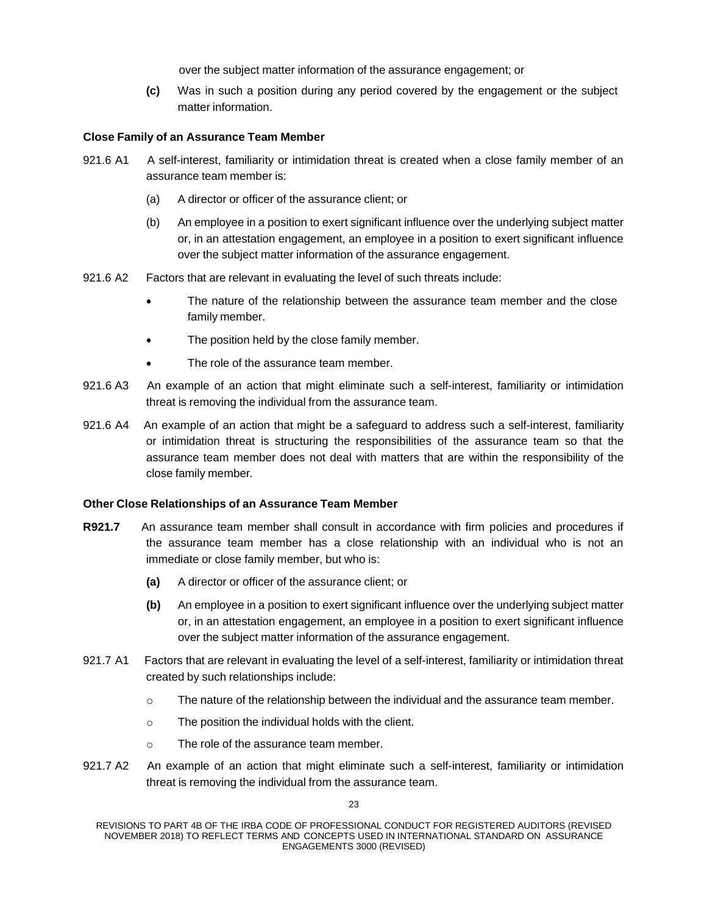over the subject matter information of the assurance engagement; or

**(c)** Was in such a position during any period covered by the engagement or the subject matter information.

### **Close Family of an Assurance Team Member**

- 921.6 A1 A self-interest, familiarity or intimidation threat is created when a close family member of an assurance team member is:
	- (a) A director or officer of the assurance client; or
	- (b) An employee in a position to exert significant influence over the underlying subject matter or, in an attestation engagement, an employee in a position to exert significant influence over the subject matter information of the assurance engagement.
- 921.6 A2 Factors that are relevant in evaluating the level of such threats include:
	- The nature of the relationship between the assurance team member and the close family member.
	- The position held by the close family member.
	- The role of the assurance team member.
- 921.6 A3 An example of an action that might eliminate such a self-interest, familiarity or intimidation threat is removing the individual from the assurance team.
- 921.6 A4 An example of an action that might be a safeguard to address such a self-interest, familiarity or intimidation threat is structuring the responsibilities of the assurance team so that the assurance team member does not deal with matters that are within the responsibility of the close family member*.*

## **Other Close Relationships of an Assurance Team Member**

- **R921.7** An assurance team member shall consult in accordance with firm policies and procedures if the assurance team member has a close relationship with an individual who is not an immediate or close family member, but who is:
	- **(a)** A director or officer of the assurance client; or
	- **(b)** An employee in a position to exert significant influence over the underlying subject matter or, in an attestation engagement, an employee in a position to exert significant influence over the subject matter information of the assurance engagement.
- 921.7 A1 Factors that are relevant in evaluating the level of a self-interest, familiarity or intimidation threat created by such relationships include:
	- $\circ$  The nature of the relationship between the individual and the assurance team member.
	- o The position the individual holds with the client.
	- o The role of the assurance team member.
- 921.7 A2 An example of an action that might eliminate such a self-interest, familiarity or intimidation threat is removing the individual from the assurance team.

REVISIONS TO PART 4B OF THE IRBA CODE OF PROFESSIONAL CONDUCT FOR REGISTERED AUDITORS (REVISED NOVEMBER 2018) TO REFLECT TERMS AND CONCEPTS USED IN INTERNATIONAL STANDARD ON ASSURANCE ENGAGEMENTS 3000 (REVISED)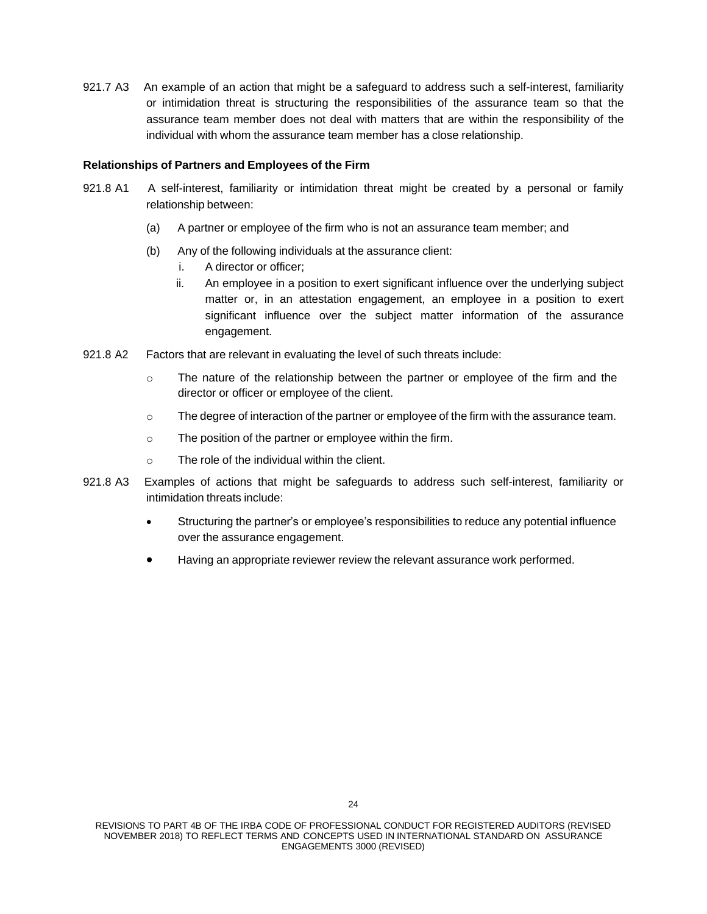921.7 A3 An example of an action that might be a safeguard to address such a self-interest, familiarity or intimidation threat is structuring the responsibilities of the assurance team so that the assurance team member does not deal with matters that are within the responsibility of the individual with whom the assurance team member has a close relationship.

#### **Relationships of Partners and Employees of the Firm**

- 921.8 A1 A self-interest, familiarity or intimidation threat might be created by a personal or family relationship between:
	- (a) A partner or employee of the firm who is not an assurance team member; and
	- (b) Any of the following individuals at the assurance client:
		- i. A director or officer;
		- ii. An employee in a position to exert significant influence over the underlying subject matter or, in an attestation engagement, an employee in a position to exert significant influence over the subject matter information of the assurance engagement.
- 921.8 A2 Factors that are relevant in evaluating the level of such threats include:
	- o The nature of the relationship between the partner or employee of the firm and the director or officer or employee of the client.
	- o The degree of interaction of the partner or employee of the firm with the assurance team.
	- o The position of the partner or employee within the firm.
	- $\circ$  The role of the individual within the client.
- 921.8 A3 Examples of actions that might be safeguards to address such self-interest, familiarity or intimidation threats include:
	- Structuring the partner's or employee's responsibilities to reduce any potential influence over the assurance engagement.
	- Having an appropriate reviewer review the relevant assurance work performed.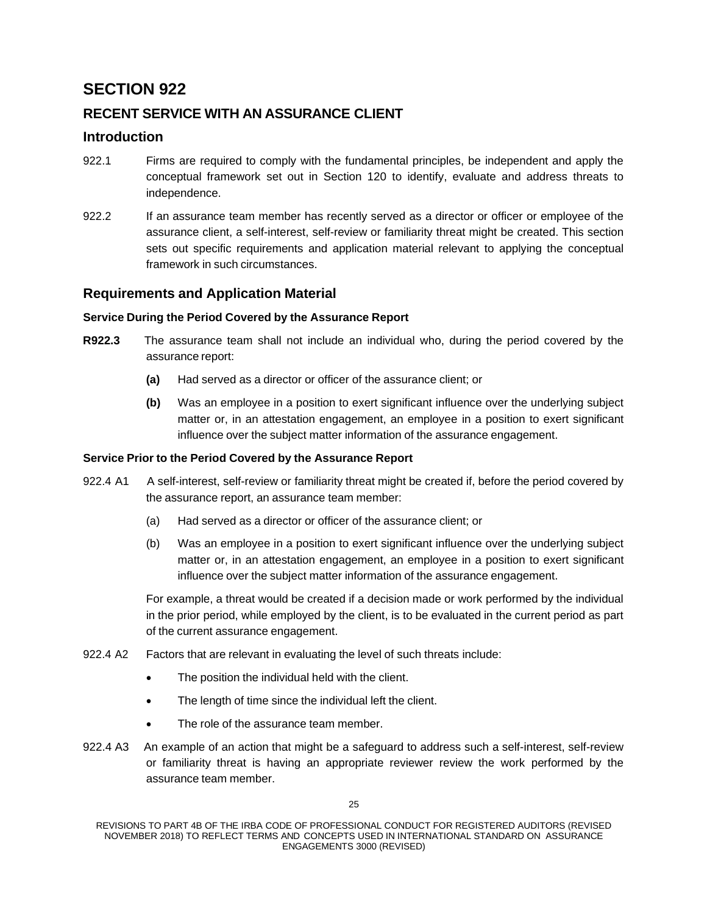# **RECENT SERVICE WITH AN ASSURANCE CLIENT**

## **Introduction**

- 922.1 Firms are required to comply with the fundamental principles, be independent and apply the conceptual framework set out in Section 120 to identify, evaluate and address threats to independence.
- 922.2 If an assurance team member has recently served as a director or officer or employee of the assurance client, a self-interest, self-review or familiarity threat might be created. This section sets out specific requirements and application material relevant to applying the conceptual framework in such circumstances.

# **Requirements and Application Material**

## **Service During the Period Covered by the Assurance Report**

- **R922.3** The assurance team shall not include an individual who, during the period covered by the assurance report:
	- **(a)** Had served as a director or officer of the assurance client; or
	- **(b)** Was an employee in a position to exert significant influence over the underlying subject matter or, in an attestation engagement, an employee in a position to exert significant influence over the subject matter information of the assurance engagement.

## **Service Prior to the Period Covered by the Assurance Report**

- 922.4 A1 A self-interest, self-review or familiarity threat might be created if, before the period covered by the assurance report, an assurance team member:
	- (a) Had served as a director or officer of the assurance client; or
	- (b) Was an employee in a position to exert significant influence over the underlying subject matter or, in an attestation engagement, an employee in a position to exert significant influence over the subject matter information of the assurance engagement.

For example, a threat would be created if a decision made or work performed by the individual in the prior period, while employed by the client, is to be evaluated in the current period as part of the current assurance engagement.

- 922.4 A2 Factors that are relevant in evaluating the level of such threats include:
	- The position the individual held with the client.
	- The length of time since the individual left the client.
	- The role of the assurance team member.
- 922.4 A3 An example of an action that might be a safeguard to address such a self-interest, self-review or familiarity threat is having an appropriate reviewer review the work performed by the assurance team member.

REVISIONS TO PART 4B OF THE IRBA CODE OF PROFESSIONAL CONDUCT FOR REGISTERED AUDITORS (REVISED NOVEMBER 2018) TO REFLECT TERMS AND CONCEPTS USED IN INTERNATIONAL STANDARD ON ASSURANCE ENGAGEMENTS 3000 (REVISED)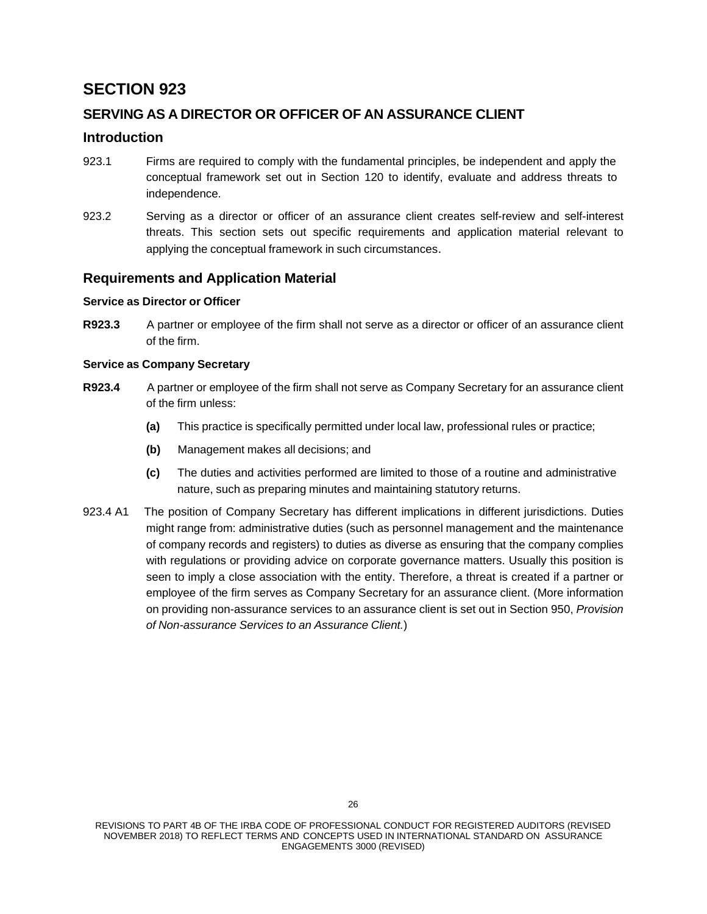# **SERVING AS A DIRECTOR OR OFFICER OF AN ASSURANCE CLIENT**

## **Introduction**

- 923.1 Firms are required to comply with the fundamental principles, be independent and apply the conceptual framework set out in Section 120 to identify, evaluate and address threats to independence.
- 923.2 Serving as a director or officer of an assurance client creates self-review and self-interest threats. This section sets out specific requirements and application material relevant to applying the conceptual framework in such circumstances.

## **Requirements and Application Material**

### **Service as Director or Officer**

**R923.3** A partner or employee of the firm shall not serve as a director or officer of an assurance client of the firm.

### **Service as Company Secretary**

- **R923.4** A partner or employee of the firm shall not serve as Company Secretary for an assurance client of the firm unless:
	- **(a)** This practice is specifically permitted under local law, professional rules or practice;
	- **(b)** Management makes all decisions; and
	- **(c)** The duties and activities performed are limited to those of a routine and administrative nature, such as preparing minutes and maintaining statutory returns.
- 923.4 A1 The position of Company Secretary has different implications in different jurisdictions. Duties might range from: administrative duties (such as personnel management and the maintenance of company records and registers) to duties as diverse as ensuring that the company complies with regulations or providing advice on corporate governance matters. Usually this position is seen to imply a close association with the entity. Therefore, a threat is created if a partner or employee of the firm serves as Company Secretary for an assurance client. (More information on providing non-assurance services to an assurance client is set out in Section 950, *Provision of Non-assurance Services to an Assurance Client.*)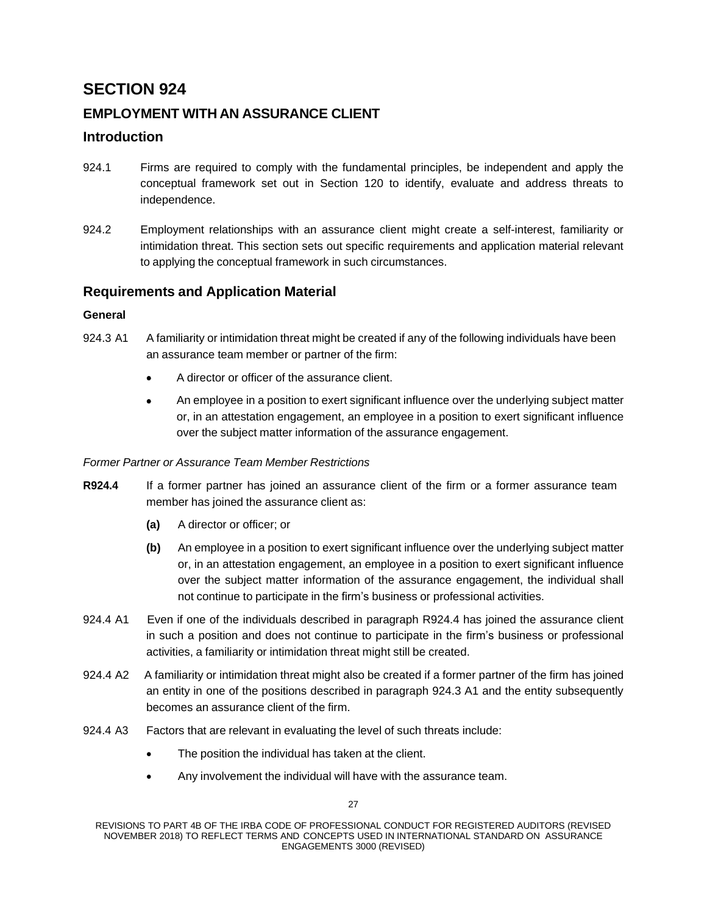# **EMPLOYMENT WITH AN ASSURANCE CLIENT**

## **Introduction**

- 924.1 Firms are required to comply with the fundamental principles, be independent and apply the conceptual framework set out in Section 120 to identify, evaluate and address threats to independence.
- 924.2 Employment relationships with an assurance client might create a self-interest, familiarity or intimidation threat. This section sets out specific requirements and application material relevant to applying the conceptual framework in such circumstances.

# **Requirements and Application Material**

## **General**

- 924.3 A1 A familiarity or intimidation threat might be created if any of the following individuals have been an assurance team member or partner of the firm:
	- A director or officer of the assurance client.
	- An employee in a position to exert significant influence over the underlying subject matter or, in an attestation engagement, an employee in a position to exert significant influence over the subject matter information of the assurance engagement.

### *Former Partner or Assurance Team Member Restrictions*

- **R924.4** If a former partner has joined an assurance client of the firm or a former assurance team member has joined the assurance client as:
	- **(a)** A director or officer; or
	- **(b)** An employee in a position to exert significant influence over the underlying subject matter or, in an attestation engagement, an employee in a position to exert significant influence over the subject matter information of the assurance engagement, the individual shall not continue to participate in the firm's business or professional activities.
- 924.4 A1 Even if one of the individuals described in paragraph R924.4 has joined the assurance client in such a position and does not continue to participate in the firm's business or professional activities, a familiarity or intimidation threat might still be created.
- 924.4 A2 A familiarity or intimidation threat might also be created if a former partner of the firm has joined an entity in one of the positions described in paragraph 924.3 A1 and the entity subsequently becomes an assurance client of the firm.
- 924.4 A3 Factors that are relevant in evaluating the level of such threats include:
	- The position the individual has taken at the client.
	- Any involvement the individual will have with the assurance team.

REVISIONS TO PART 4B OF THE IRBA CODE OF PROFESSIONAL CONDUCT FOR REGISTERED AUDITORS (REVISED NOVEMBER 2018) TO REFLECT TERMS AND CONCEPTS USED IN INTERNATIONAL STANDARD ON ASSURANCE ENGAGEMENTS 3000 (REVISED)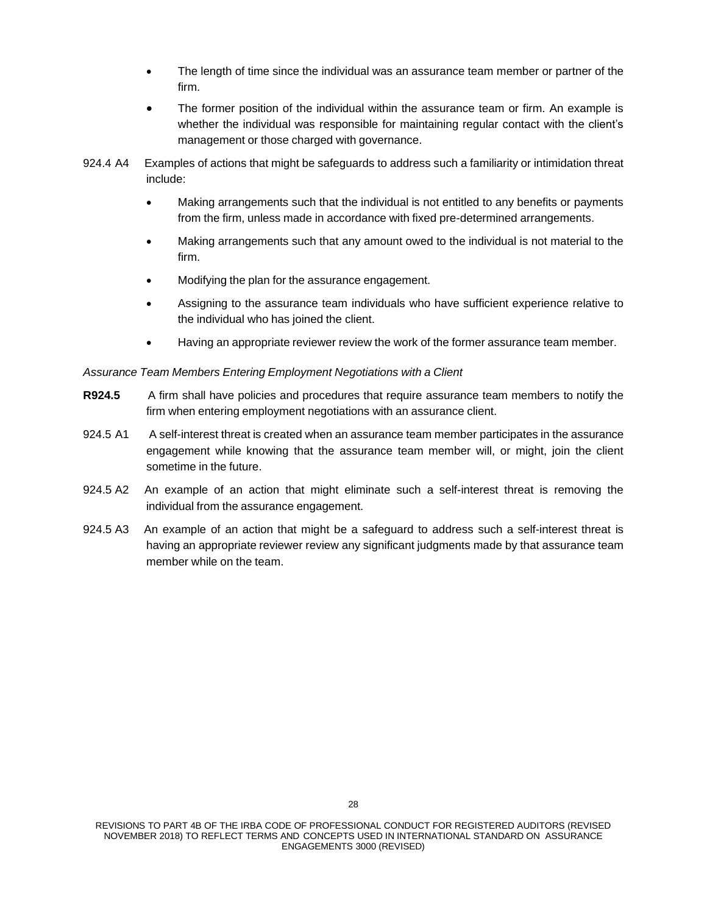- The length of time since the individual was an assurance team member or partner of the firm.
- The former position of the individual within the assurance team or firm. An example is whether the individual was responsible for maintaining regular contact with the client's management or those charged with governance.
- 924.4 A4 Examples of actions that might be safeguards to address such a familiarity or intimidation threat include:
	- Making arrangements such that the individual is not entitled to any benefits or payments from the firm, unless made in accordance with fixed pre-determined arrangements.
	- Making arrangements such that any amount owed to the individual is not material to the firm.
	- Modifying the plan for the assurance engagement.
	- Assigning to the assurance team individuals who have sufficient experience relative to the individual who has joined the client.
	- Having an appropriate reviewer review the work of the former assurance team member.

#### *Assurance Team Members Entering Employment Negotiations with a Client*

- **R924.5** A firm shall have policies and procedures that require assurance team members to notify the firm when entering employment negotiations with an assurance client.
- 924.5 A1 A self-interest threat is created when an assurance team member participates in the assurance engagement while knowing that the assurance team member will, or might, join the client sometime in the future.
- 924.5 A2 An example of an action that might eliminate such a self-interest threat is removing the individual from the assurance engagement.
- 924.5 A3 An example of an action that might be a safeguard to address such a self-interest threat is having an appropriate reviewer review any significant judgments made by that assurance team member while on the team.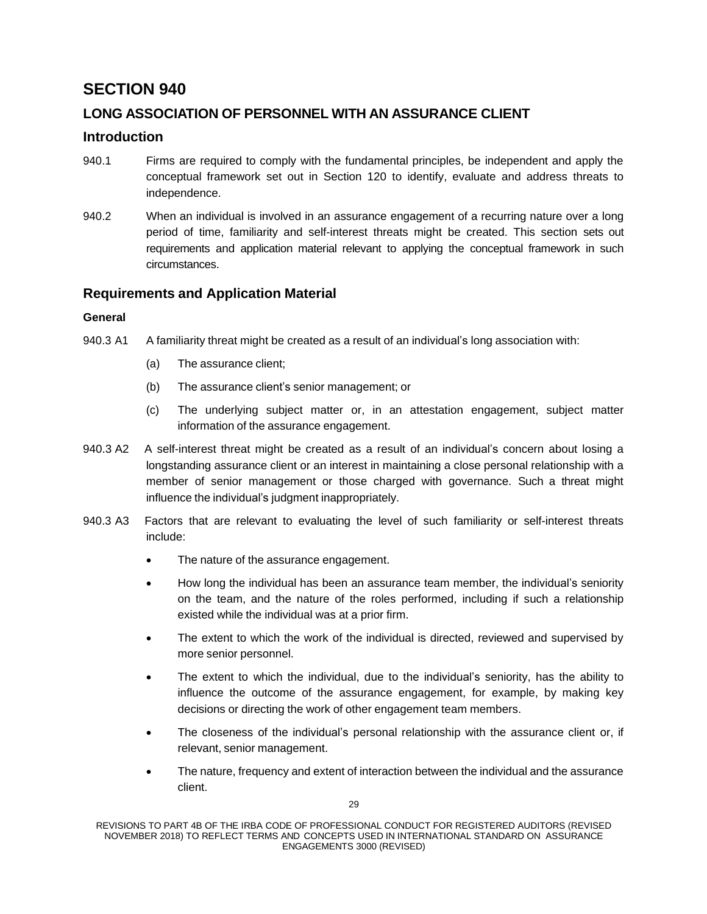# **LONG ASSOCIATION OF PERSONNEL WITH AN ASSURANCE CLIENT**

## **Introduction**

- 940.1 Firms are required to comply with the fundamental principles, be independent and apply the conceptual framework set out in Section 120 to identify, evaluate and address threats to independence.
- 940.2 When an individual is involved in an assurance engagement of a recurring nature over a long period of time, familiarity and self-interest threats might be created. This section sets out requirements and application material relevant to applying the conceptual framework in such circumstances.

## **Requirements and Application Material**

### **General**

- 940.3 A1 A familiarity threat might be created as a result of an individual's long association with:
	- (a) The assurance client;
	- (b) The assurance client's senior management; or
	- (c) The underlying subject matter or, in an attestation engagement, subject matter information of the assurance engagement.
- 940.3 A2 A self-interest threat might be created as a result of an individual's concern about losing a longstanding assurance client or an interest in maintaining a close personal relationship with a member of senior management or those charged with governance. Such a threat might influence the individual's judgment inappropriately.
- 940.3 A3 Factors that are relevant to evaluating the level of such familiarity or self-interest threats include:
	- The nature of the assurance engagement.
	- How long the individual has been an assurance team member, the individual's seniority on the team, and the nature of the roles performed, including if such a relationship existed while the individual was at a prior firm.
	- The extent to which the work of the individual is directed, reviewed and supervised by more senior personnel.
	- The extent to which the individual, due to the individual's seniority, has the ability to influence the outcome of the assurance engagement, for example, by making key decisions or directing the work of other engagement team members.
	- The closeness of the individual's personal relationship with the assurance client or, if relevant, senior management.
	- The nature, frequency and extent of interaction between the individual and the assurance client.

REVISIONS TO PART 4B OF THE IRBA CODE OF PROFESSIONAL CONDUCT FOR REGISTERED AUDITORS (REVISED NOVEMBER 2018) TO REFLECT TERMS AND CONCEPTS USED IN INTERNATIONAL STANDARD ON ASSURANCE ENGAGEMENTS 3000 (REVISED)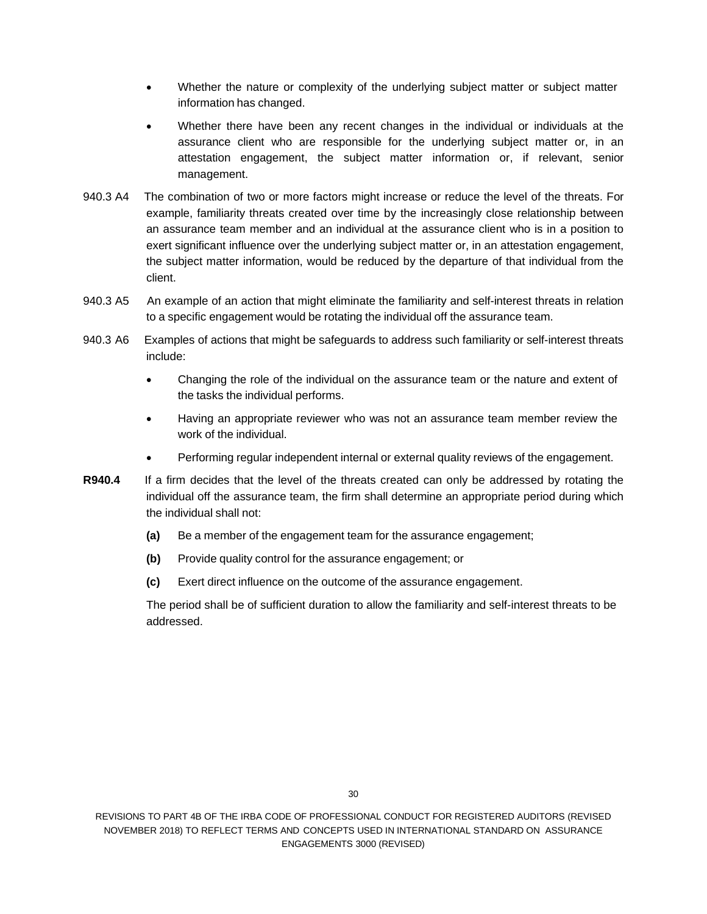- Whether the nature or complexity of the underlying subject matter or subject matter information has changed.
- Whether there have been any recent changes in the individual or individuals at the assurance client who are responsible for the underlying subject matter or, in an attestation engagement, the subject matter information or, if relevant, senior management.
- 940.3 A4 The combination of two or more factors might increase or reduce the level of the threats. For example, familiarity threats created over time by the increasingly close relationship between an assurance team member and an individual at the assurance client who is in a position to exert significant influence over the underlying subject matter or, in an attestation engagement, the subject matter information, would be reduced by the departure of that individual from the client.
- 940.3 A5 An example of an action that might eliminate the familiarity and self-interest threats in relation to a specific engagement would be rotating the individual off the assurance team.
- 940.3 A6 Examples of actions that might be safeguards to address such familiarity or self-interest threats include:
	- Changing the role of the individual on the assurance team or the nature and extent of the tasks the individual performs.
	- Having an appropriate reviewer who was not an assurance team member review the work of the individual.
	- Performing regular independent internal or external quality reviews of the engagement.
- **R940.4** If a firm decides that the level of the threats created can only be addressed by rotating the individual off the assurance team, the firm shall determine an appropriate period during which the individual shall not:
	- **(a)** Be a member of the engagement team for the assurance engagement;
	- **(b)** Provide quality control for the assurance engagement; or
	- **(c)** Exert direct influence on the outcome of the assurance engagement.

The period shall be of sufficient duration to allow the familiarity and self-interest threats to be addressed.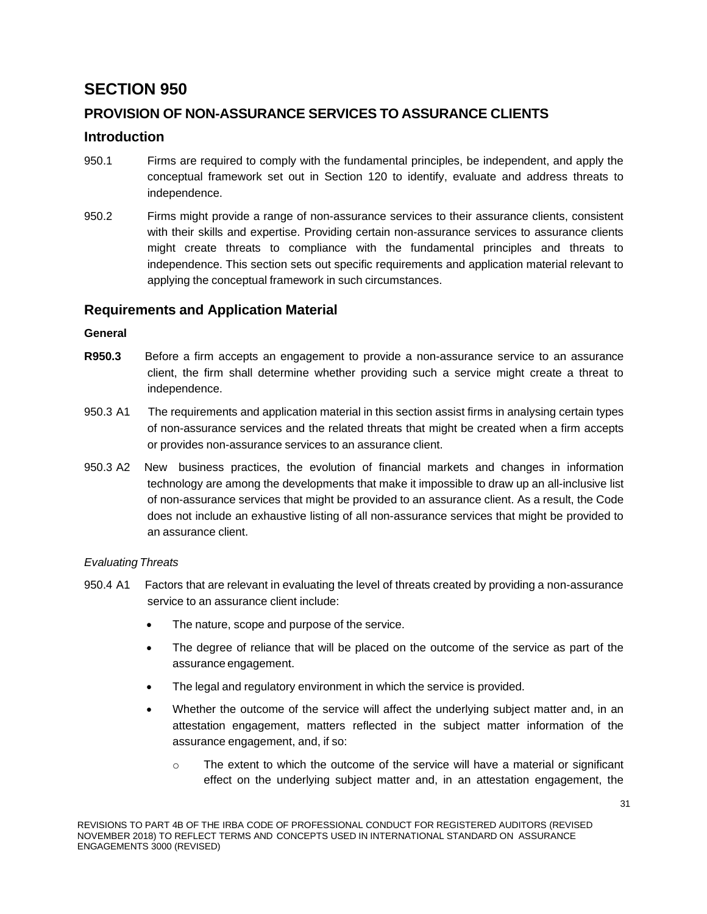# **PROVISION OF NON-ASSURANCE SERVICES TO ASSURANCE CLIENTS**

## **Introduction**

- 950.1 Firms are required to comply with the fundamental principles, be independent, and apply the conceptual framework set out in Section 120 to identify, evaluate and address threats to independence.
- 950.2 Firms might provide a range of non-assurance services to their assurance clients, consistent with their skills and expertise. Providing certain non-assurance services to assurance clients might create threats to compliance with the fundamental principles and threats to independence. This section sets out specific requirements and application material relevant to applying the conceptual framework in such circumstances.

# **Requirements and Application Material**

## **General**

- **R950.3** Before a firm accepts an engagement to provide a non-assurance service to an assurance client, the firm shall determine whether providing such a service might create a threat to independence.
- 950.3 A1 The requirements and application material in this section assist firms in analysing certain types of non-assurance services and the related threats that might be created when a firm accepts or provides non-assurance services to an assurance client.
- 950.3 A2 New business practices, the evolution of financial markets and changes in information technology are among the developments that make it impossible to draw up an all-inclusive list of non-assurance services that might be provided to an assurance client. As a result, the Code does not include an exhaustive listing of all non-assurance services that might be provided to an assurance client.

## *Evaluating Threats*

- 950.4 A1 Factors that are relevant in evaluating the level of threats created by providing a non-assurance service to an assurance client include:
	- The nature, scope and purpose of the service.
	- The degree of reliance that will be placed on the outcome of the service as part of the assurance engagement.
	- The legal and regulatory environment in which the service is provided.
	- Whether the outcome of the service will affect the underlying subject matter and, in an attestation engagement, matters reflected in the subject matter information of the assurance engagement, and, if so:
		- $\circ$  The extent to which the outcome of the service will have a material or significant effect on the underlying subject matter and, in an attestation engagement, the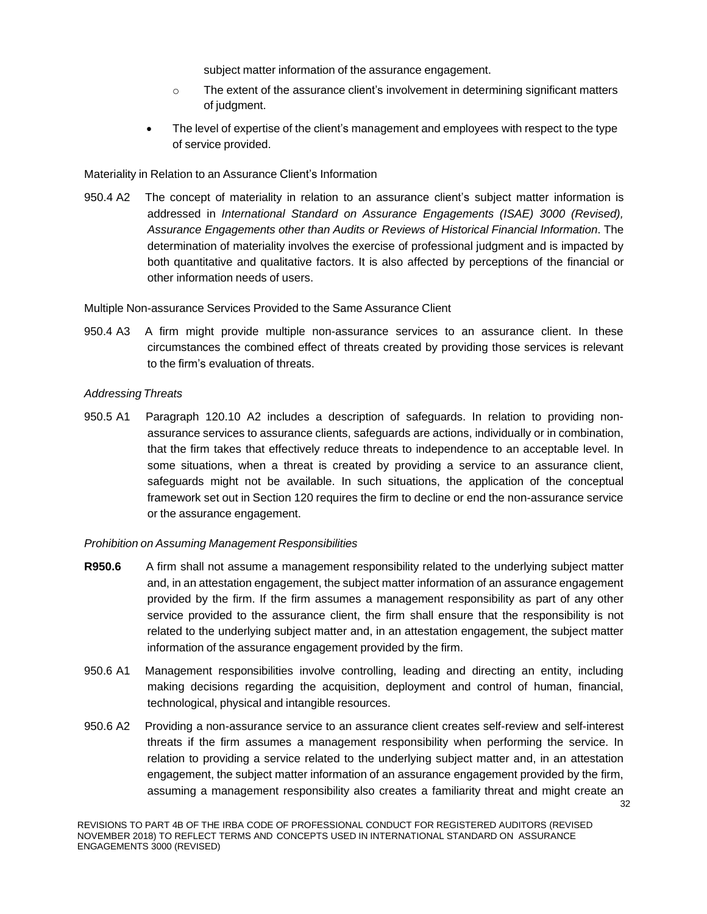subject matter information of the assurance engagement.

- $\circ$  The extent of the assurance client's involvement in determining significant matters of judgment.
- The level of expertise of the client's management and employees with respect to the type of service provided.

## Materiality in Relation to an Assurance Client's Information

950.4 A2 The concept of materiality in relation to an assurance client's subject matter information is addressed in *International Standard on Assurance Engagements (ISAE) 3000 (Revised), Assurance Engagements other than Audits or Reviews of Historical Financial Information*. The determination of materiality involves the exercise of professional judgment and is impacted by both quantitative and qualitative factors. It is also affected by perceptions of the financial or other information needs of users.

Multiple Non-assurance Services Provided to the Same Assurance Client

950.4 A3 A firm might provide multiple non-assurance services to an assurance client. In these circumstances the combined effect of threats created by providing those services is relevant to the firm's evaluation of threats.

## *Addressing Threats*

950.5 A1 Paragraph 120.10 A2 includes a description of safeguards. In relation to providing nonassurance services to assurance clients, safeguards are actions, individually or in combination, that the firm takes that effectively reduce threats to independence to an acceptable level. In some situations, when a threat is created by providing a service to an assurance client, safeguards might not be available. In such situations, the application of the conceptual framework set out in Section 120 requires the firm to decline or end the non-assurance service or the assurance engagement.

## *Prohibition on Assuming Management Responsibilities*

- **R950.6** A firm shall not assume a management responsibility related to the underlying subject matter and, in an attestation engagement, the subject matter information of an assurance engagement provided by the firm. If the firm assumes a management responsibility as part of any other service provided to the assurance client, the firm shall ensure that the responsibility is not related to the underlying subject matter and, in an attestation engagement, the subject matter information of the assurance engagement provided by the firm.
- 950.6 A1 Management responsibilities involve controlling, leading and directing an entity, including making decisions regarding the acquisition, deployment and control of human, financial, technological, physical and intangible resources.
- 950.6 A2 Providing a non-assurance service to an assurance client creates self-review and self-interest threats if the firm assumes a management responsibility when performing the service. In relation to providing a service related to the underlying subject matter and, in an attestation engagement, the subject matter information of an assurance engagement provided by the firm, assuming a management responsibility also creates a familiarity threat and might create an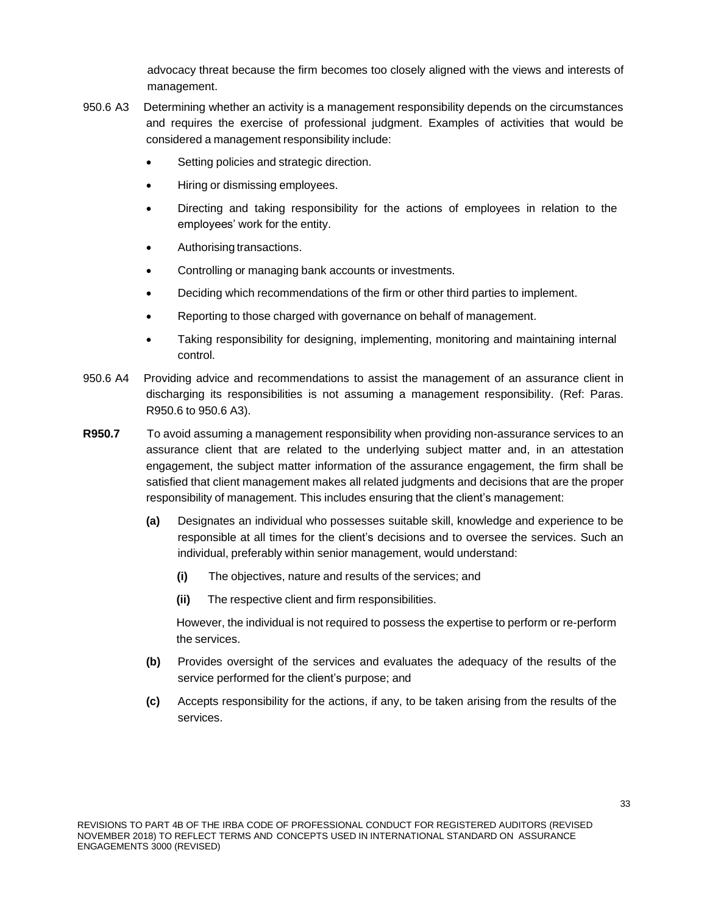advocacy threat because the firm becomes too closely aligned with the views and interests of management.

- 950.6 A3 Determining whether an activity is a management responsibility depends on the circumstances and requires the exercise of professional judgment. Examples of activities that would be considered a management responsibility include:
	- Setting policies and strategic direction.
	- Hiring or dismissing employees.
	- Directing and taking responsibility for the actions of employees in relation to the employees' work for the entity.
	- Authorising transactions.
	- Controlling or managing bank accounts or investments.
	- Deciding which recommendations of the firm or other third parties to implement.
	- Reporting to those charged with governance on behalf of management.
	- Taking responsibility for designing, implementing, monitoring and maintaining internal control.
- 950.6 A4 Providing advice and recommendations to assist the management of an assurance client in discharging its responsibilities is not assuming a management responsibility. (Ref: Paras. R950.6 to 950.6 A3).
- **R950.7** To avoid assuming a management responsibility when providing non-assurance services to an assurance client that are related to the underlying subject matter and, in an attestation engagement, the subject matter information of the assurance engagement, the firm shall be satisfied that client management makes all related judgments and decisions that are the proper responsibility of management. This includes ensuring that the client's management:
	- **(a)** Designates an individual who possesses suitable skill, knowledge and experience to be responsible at all times for the client's decisions and to oversee the services. Such an individual, preferably within senior management, would understand:
		- **(i)** The objectives, nature and results of the services; and
		- **(ii)** The respective client and firm responsibilities.

However, the individual is not required to possess the expertise to perform or re-perform the services.

- **(b)** Provides oversight of the services and evaluates the adequacy of the results of the service performed for the client's purpose; and
- **(c)** Accepts responsibility for the actions, if any, to be taken arising from the results of the services.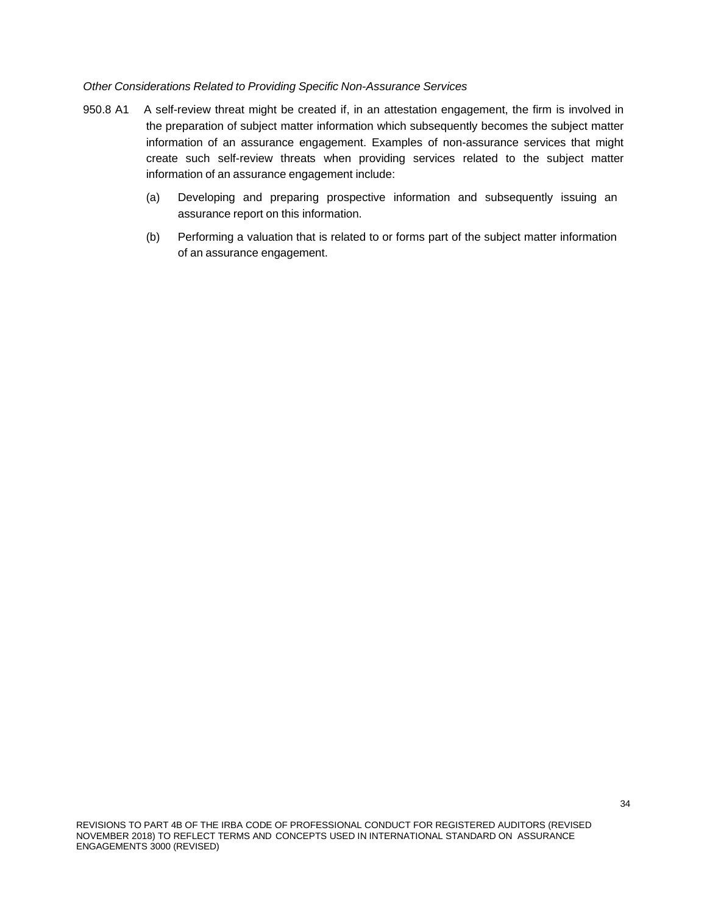#### *Other Considerations Related to Providing Specific Non-Assurance Services*

- 950.8 A1 A self-review threat might be created if, in an attestation engagement, the firm is involved in the preparation of subject matter information which subsequently becomes the subject matter information of an assurance engagement. Examples of non-assurance services that might create such self-review threats when providing services related to the subject matter information of an assurance engagement include:
	- (a) Developing and preparing prospective information and subsequently issuing an assurance report on this information.
	- (b) Performing a valuation that is related to or forms part of the subject matter information of an assurance engagement.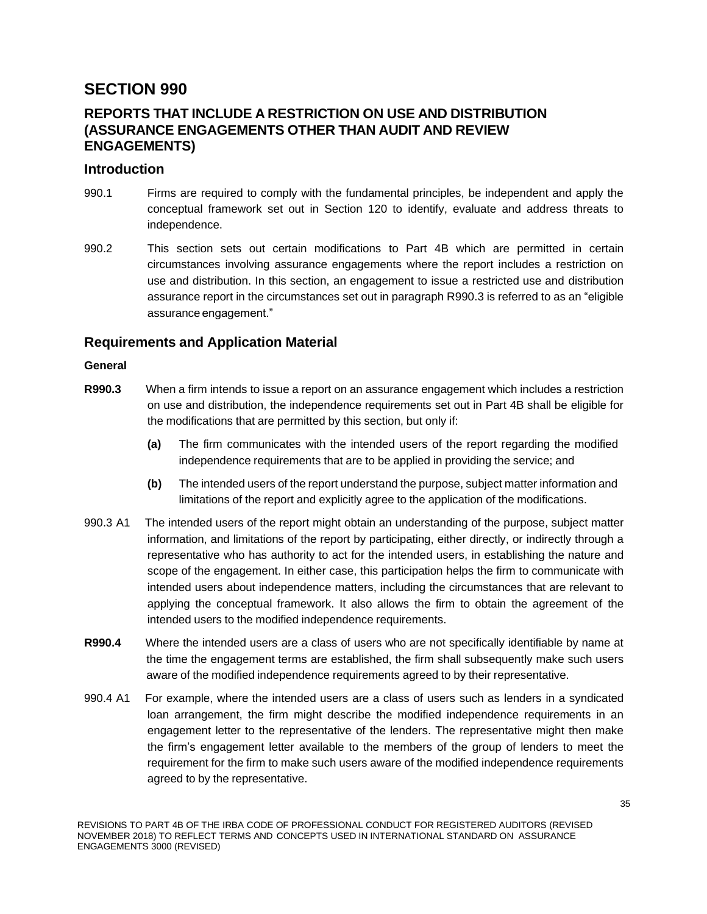# **REPORTS THAT INCLUDE A RESTRICTION ON USE AND DISTRIBUTION (ASSURANCE ENGAGEMENTS OTHER THAN AUDIT AND REVIEW ENGAGEMENTS)**

## **Introduction**

- 990.1 Firms are required to comply with the fundamental principles, be independent and apply the conceptual framework set out in Section 120 to identify, evaluate and address threats to independence.
- 990.2 This section sets out certain modifications to Part 4B which are permitted in certain circumstances involving assurance engagements where the report includes a restriction on use and distribution. In this section, an engagement to issue a restricted use and distribution assurance report in the circumstances set out in paragraph R990.3 is referred to as an "eligible assurance engagement."

# **Requirements and Application Material**

## **General**

- **R990.3** When a firm intends to issue a report on an assurance engagement which includes a restriction on use and distribution, the independence requirements set out in Part 4B shall be eligible for the modifications that are permitted by this section, but only if:
	- **(a)** The firm communicates with the intended users of the report regarding the modified independence requirements that are to be applied in providing the service; and
	- **(b)** The intended users of the report understand the purpose, subject matter information and limitations of the report and explicitly agree to the application of the modifications.
- 990.3 A1 The intended users of the report might obtain an understanding of the purpose, subject matter information, and limitations of the report by participating, either directly, or indirectly through a representative who has authority to act for the intended users, in establishing the nature and scope of the engagement. In either case, this participation helps the firm to communicate with intended users about independence matters, including the circumstances that are relevant to applying the conceptual framework. It also allows the firm to obtain the agreement of the intended users to the modified independence requirements.
- **R990.4** Where the intended users are a class of users who are not specifically identifiable by name at the time the engagement terms are established, the firm shall subsequently make such users aware of the modified independence requirements agreed to by their representative.
- 990.4 A1 For example, where the intended users are a class of users such as lenders in a syndicated loan arrangement, the firm might describe the modified independence requirements in an engagement letter to the representative of the lenders. The representative might then make the firm's engagement letter available to the members of the group of lenders to meet the requirement for the firm to make such users aware of the modified independence requirements agreed to by the representative.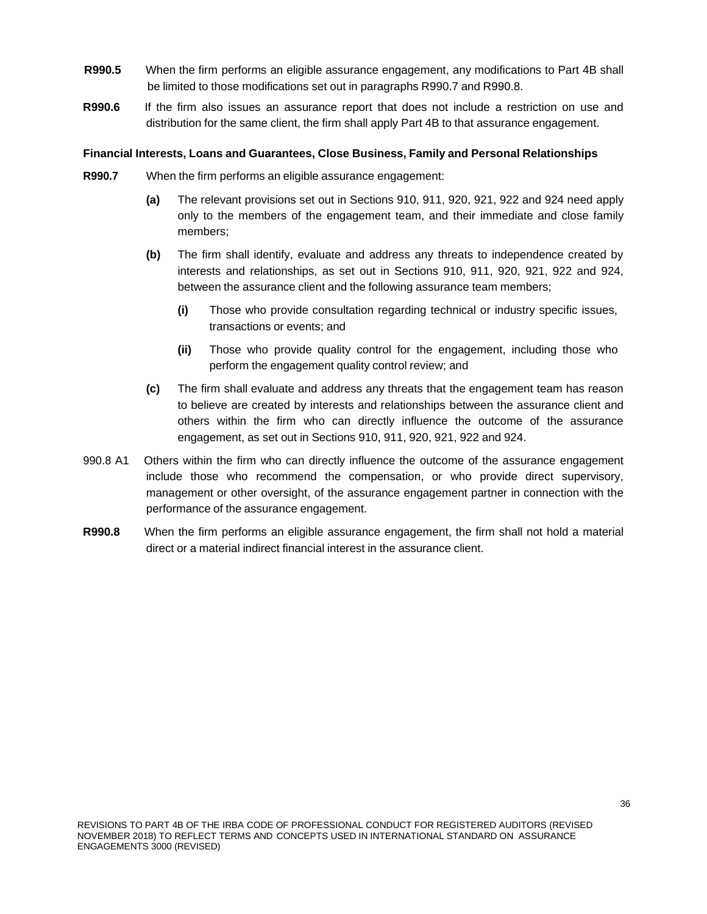- **R990.5** When the firm performs an eligible assurance engagement, any modifications to Part 4B shall be limited to those modifications set out in paragraphs R990.7 and R990.8.
- **R990.6** If the firm also issues an assurance report that does not include a restriction on use and distribution for the same client, the firm shall apply Part 4B to that assurance engagement.

#### **Financial Interests, Loans and Guarantees, Close Business, Family and Personal Relationships**

- **R990.7** When the firm performs an eligible assurance engagement:
	- **(a)** The relevant provisions set out in Sections 910, 911, 920, 921, 922 and 924 need apply only to the members of the engagement team, and their immediate and close family members;
	- **(b)** The firm shall identify, evaluate and address any threats to independence created by interests and relationships, as set out in Sections 910, 911, 920, 921, 922 and 924, between the assurance client and the following assurance team members;
		- **(i)** Those who provide consultation regarding technical or industry specific issues, transactions or events; and
		- **(ii)** Those who provide quality control for the engagement, including those who perform the engagement quality control review; and
	- **(c)** The firm shall evaluate and address any threats that the engagement team has reason to believe are created by interests and relationships between the assurance client and others within the firm who can directly influence the outcome of the assurance engagement, as set out in Sections 910, 911, 920, 921, 922 and 924.
- 990.8 A1 Others within the firm who can directly influence the outcome of the assurance engagement include those who recommend the compensation, or who provide direct supervisory, management or other oversight, of the assurance engagement partner in connection with the performance of the assurance engagement.
- **R990.8** When the firm performs an eligible assurance engagement, the firm shall not hold a material direct or a material indirect financial interest in the assurance client.